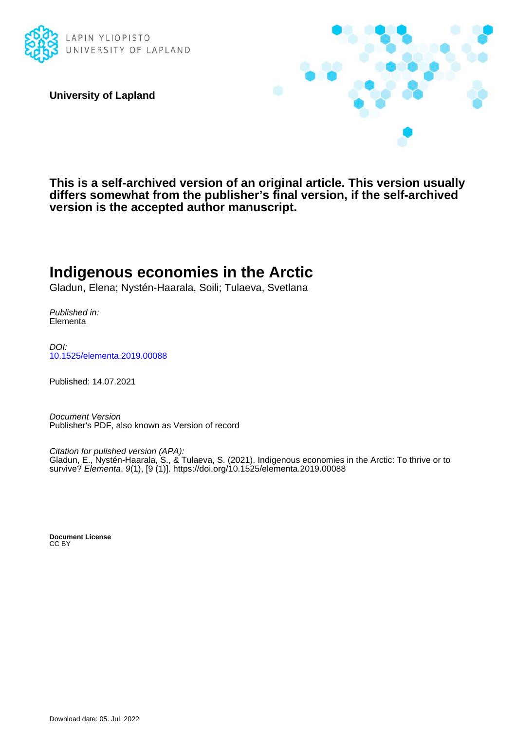

**University of Lapland**



**This is a self-archived version of an original article. This version usually differs somewhat from the publisher's final version, if the self-archived version is the accepted author manuscript.**

## **Indigenous economies in the Arctic**

Gladun, Elena; Nystén-Haarala, Soili; Tulaeva, Svetlana

Published in: Elementa

DOI: [10.1525/elementa.2019.00088](https://doi.org/10.1525/elementa.2019.00088)

Published: 14.07.2021

Document Version Publisher's PDF, also known as Version of record

Citation for pulished version (APA): Gladun, E., Nystén-Haarala, S., & Tulaeva, S. (2021). Indigenous economies in the Arctic: To thrive or to survive? Elementa, 9(1), [9 (1)]. <https://doi.org/10.1525/elementa.2019.00088>

**Document License** CC BY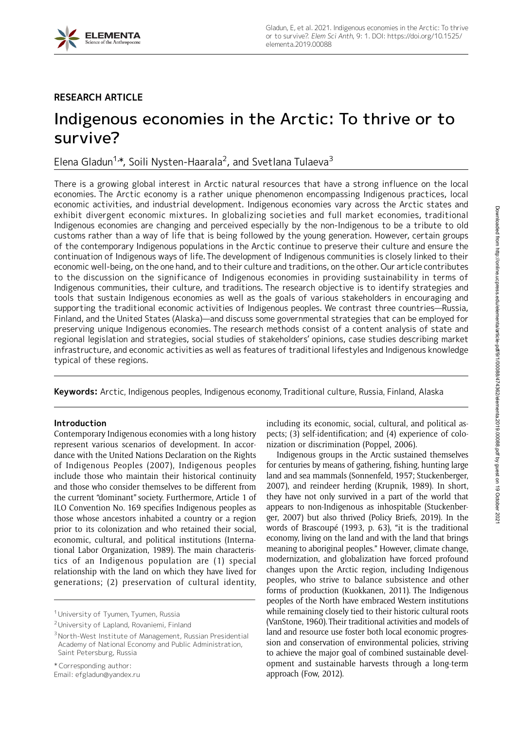

## RESEARCH ARTICLE

# Indigenous economies in the Arctic: To thrive or to survive?

Elena Gladun<sup>1,</sup>\*, Soili Nysten-Haarala<sup>2</sup>, and Svetlana Tulaeva<sup>3</sup>

There is a growing global interest in Arctic natural resources that have a strong influence on the local economies. The Arctic economy is a rather unique phenomenon encompassing Indigenous practices, local economic activities, and industrial development. Indigenous economies vary across the Arctic states and exhibit divergent economic mixtures. In globalizing societies and full market economies, traditional Indigenous economies are changing and perceived especially by the non-Indigenous to be a tribute to old customs rather than a way of life that is being followed by the young generation. However, certain groups of the contemporary Indigenous populations in the Arctic continue to preserve their culture and ensure the continuation of Indigenous ways of life. The development of Indigenous communities is closely linked to their economic well-being, on the one hand, and to their culture and traditions, on the other. Our article contributes to the discussion on the significance of Indigenous economies in providing sustainability in terms of Indigenous communities, their culture, and traditions. The research objective is to identify strategies and tools that sustain Indigenous economies as well as the goals of various stakeholders in encouraging and supporting the traditional economic activities of Indigenous peoples. We contrast three countries—Russia, Finland, and the United States (Alaska)—and discuss some governmental strategies that can be employed for preserving unique Indigenous economies. The research methods consist of a content analysis of state and regional legislation and strategies, social studies of stakeholders' opinions, case studies describing market infrastructure, and economic activities as well as features of traditional lifestyles and Indigenous knowledge typical of these regions.

Keywords: Arctic, Indigenous peoples, Indigenous economy, Traditional culture, Russia, Finland, Alaska

## Introduction

Contemporary Indigenous economies with a long history represent various scenarios of development. In accordance with the United Nations Declaration on the Rights of Indigenous Peoples (2007), Indigenous peoples include those who maintain their historical continuity and those who consider themselves to be different from the current "dominant" society. Furthermore, Article 1 of ILO Convention No. 169 specifies Indigenous peoples as those whose ancestors inhabited a country or a region prior to its colonization and who retained their social, economic, cultural, and political institutions (International Labor Organization, 1989). The main characteristics of an Indigenous population are (1) special relationship with the land on which they have lived for generations; (2) preservation of cultural identity, including its economic, social, cultural, and political aspects; (3) self-identification; and (4) experience of colonization or discrimination (Poppel, 2006).

Indigenous groups in the Arctic sustained themselves for centuries by means of gathering, fishing, hunting large land and sea mammals (Sonnenfeld, 1957; Stuckenberger, 2007), and reindeer herding (Krupnik, 1989). In short, they have not only survived in a part of the world that appears to non-Indigenous as inhospitable (Stuckenberger, 2007) but also thrived (Policy Briefs, 2019). In the words of Brascoupé (1993, p. 63), "it is the traditional economy, living on the land and with the land that brings meaning to aboriginal peoples." However, climate change, modernization, and globalization have forced profound changes upon the Arctic region, including Indigenous peoples, who strive to balance subsistence and other forms of production (Kuokkanen, 2011). The Indigenous peoples of the North have embraced Western institutions while remaining closely tied to their historic cultural roots (VanStone, 1960). Their traditional activities and models of land and resource use foster both local economic progression and conservation of environmental policies, striving to achieve the major goal of combined sustainable development and sustainable harvests through a long-term approach (Fow, 2012).

<sup>&</sup>lt;sup>1</sup> University of Tyumen, Tyumen, Russia

<sup>2</sup>University of Lapland, Rovaniemi, Finland

<sup>3</sup>North-West Institute of Management, Russian Presidential Academy of National Economy and Public Administration, Saint Petersburg, Russia

<sup>\*</sup> Corresponding author:

Email: efgladun@yandex.ru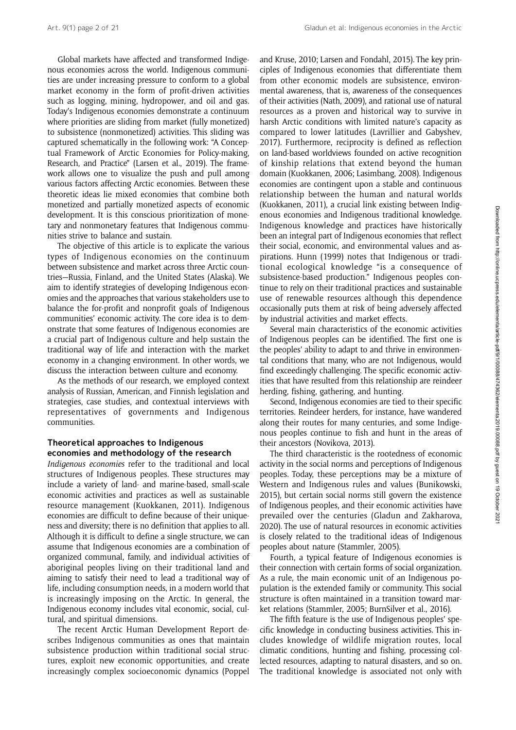Global markets have affected and transformed Indigenous economies across the world. Indigenous communities are under increasing pressure to conform to a global market economy in the form of profit-driven activities such as logging, mining, hydropower, and oil and gas. Today's Indigenous economies demonstrate a continuum where priorities are sliding from market (fully monetized) to subsistence (nonmonetized) activities. This sliding was captured schematically in the following work: "A Conceptual Framework of Arctic Economies for Policy-making, Research, and Practice" (Larsen et al., 2019). The framework allows one to visualize the push and pull among various factors affecting Arctic economies. Between these theoretic ideas lie mixed economies that combine both monetized and partially monetized aspects of economic development. It is this conscious prioritization of monetary and nonmonetary features that Indigenous communities strive to balance and sustain.

The objective of this article is to explicate the various types of Indigenous economies on the continuum between subsistence and market across three Arctic countries—Russia, Finland, and the United States (Alaska). We aim to identify strategies of developing Indigenous economies and the approaches that various stakeholders use to balance the for-profit and nonprofit goals of Indigenous communities' economic activity. The core idea is to demonstrate that some features of Indigenous economies are a crucial part of Indigenous culture and help sustain the traditional way of life and interaction with the market economy in a changing environment. In other words, we discuss the interaction between culture and economy.

As the methods of our research, we employed context analysis of Russian, American, and Finnish legislation and strategies, case studies, and contextual interviews with representatives of governments and Indigenous communities.

## Theoretical approaches to Indigenous economies and methodology of the research

Indigenous economies refer to the traditional and local structures of Indigenous peoples. These structures may include a variety of land- and marine-based, small-scale economic activities and practices as well as sustainable resource management (Kuokkanen, 2011). Indigenous economies are difficult to define because of their uniqueness and diversity; there is no definition that applies to all. Although it is difficult to define a single structure, we can assume that Indigenous economies are a combination of organized communal, family, and individual activities of aboriginal peoples living on their traditional land and aiming to satisfy their need to lead a traditional way of life, including consumption needs, in a modern world that is increasingly imposing on the Arctic. In general, the Indigenous economy includes vital economic, social, cultural, and spiritual dimensions.

The recent Arctic Human Development Report describes Indigenous communities as ones that maintain subsistence production within traditional social structures, exploit new economic opportunities, and create increasingly complex socioeconomic dynamics (Poppel and Kruse, 2010; Larsen and Fondahl, 2015). The key principles of Indigenous economies that differentiate them from other economic models are subsistence, environmental awareness, that is, awareness of the consequences of their activities (Nath, 2009), and rational use of natural resources as a proven and historical way to survive in harsh Arctic conditions with limited nature's capacity as compared to lower latitudes (Lavrillier and Gabyshev, 2017). Furthermore, reciprocity is defined as reflection on land-based worldviews founded on active recognition of kinship relations that extend beyond the human domain (Kuokkanen, 2006; Lasimbang, 2008). Indigenous economies are contingent upon a stable and continuous relationship between the human and natural worlds (Kuokkanen, 2011), a crucial link existing between Indigenous economies and Indigenous traditional knowledge. Indigenous knowledge and practices have historically been an integral part of Indigenous economies that reflect their social, economic, and environmental values and aspirations. Hunn (1999) notes that Indigenous or traditional ecological knowledge "is a consequence of subsistence-based production." Indigenous peoples continue to rely on their traditional practices and sustainable use of renewable resources although this dependence occasionally puts them at risk of being adversely affected by industrial activities and market effects.

Several main characteristics of the economic activities of Indigenous peoples can be identified. The first one is the peoples' ability to adapt to and thrive in environmental conditions that many, who are not Indigenous, would find exceedingly challenging. The specific economic activities that have resulted from this relationship are reindeer herding, fishing, gathering, and hunting.

Second, Indigenous economies are tied to their specific territories. Reindeer herders, for instance, have wandered along their routes for many centuries, and some Indigenous peoples continue to fish and hunt in the areas of their ancestors (Novikova, 2013).

The third characteristic is the rootedness of economic activity in the social norms and perceptions of Indigenous peoples. Today, these perceptions may be a mixture of Western and Indigenous rules and values (Bunikowski, 2015), but certain social norms still govern the existence of Indigenous peoples, and their economic activities have prevailed over the centuries (Gladun and Zakharova, 2020). The use of natural resources in economic activities is closely related to the traditional ideas of Indigenous peoples about nature (Stammler, 2005).

Fourth, a typical feature of Indigenous economies is their connection with certain forms of social organization. As a rule, the main economic unit of an Indigenous population is the extended family or community. This social structure is often maintained in a transition toward market relations (Stammler, 2005; BurnSilver et al., 2016).

The fifth feature is the use of Indigenous peoples' specific knowledge in conducting business activities. This includes knowledge of wildlife migration routes, local climatic conditions, hunting and fishing, processing collected resources, adapting to natural disasters, and so on. The traditional knowledge is associated not only with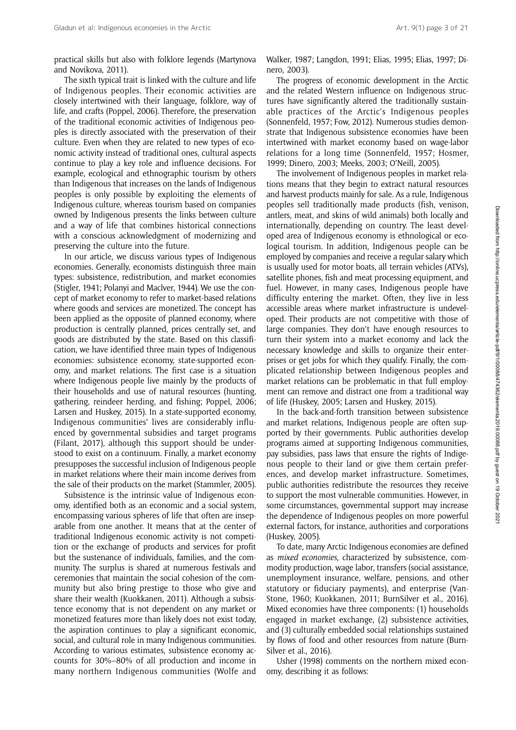practical skills but also with folklore legends (Martynova and Novikova, 2011).

The sixth typical trait is linked with the culture and life of Indigenous peoples. Their economic activities are closely intertwined with their language, folklore, way of life, and crafts (Poppel, 2006). Therefore, the preservation of the traditional economic activities of Indigenous peoples is directly associated with the preservation of their culture. Even when they are related to new types of economic activity instead of traditional ones, cultural aspects continue to play a key role and influence decisions. For example, ecological and ethnographic tourism by others than Indigenous that increases on the lands of Indigenous peoples is only possible by exploiting the elements of Indigenous culture, whereas tourism based on companies owned by Indigenous presents the links between culture and a way of life that combines historical connections with a conscious acknowledgment of modernizing and preserving the culture into the future.

In our article, we discuss various types of Indigenous economies. Generally, economists distinguish three main types: subsistence, redistribution, and market economies (Stigler, 1941; Polanyi and Maclver, 1944). We use the concept of market economy to refer to market-based relations where goods and services are monetized. The concept has been applied as the opposite of planned economy, where production is centrally planned, prices centrally set, and goods are distributed by the state. Based on this classification, we have identified three main types of Indigenous economies: subsistence economy, state-supported economy, and market relations. The first case is a situation where Indigenous people live mainly by the products of their households and use of natural resources (hunting, gathering, reindeer herding, and fishing; Poppel, 2006; Larsen and Huskey, 2015). In a state-supported economy, Indigenous communities' lives are considerably influenced by governmental subsidies and target programs (Filant, 2017), although this support should be understood to exist on a continuum. Finally, a market economy presupposes the successful inclusion of Indigenous people in market relations where their main income derives from the sale of their products on the market (Stammler, 2005).

Subsistence is the intrinsic value of Indigenous economy, identified both as an economic and a social system, encompassing various spheres of life that often are inseparable from one another. It means that at the center of traditional Indigenous economic activity is not competition or the exchange of products and services for profit but the sustenance of individuals, families, and the community. The surplus is shared at numerous festivals and ceremonies that maintain the social cohesion of the community but also bring prestige to those who give and share their wealth (Kuokkanen, 2011). Although a subsistence economy that is not dependent on any market or monetized features more than likely does not exist today, the aspiration continues to play a significant economic, social, and cultural role in many Indigenous communities. According to various estimates, subsistence economy accounts for 30%–80% of all production and income in many northern Indigenous communities (Wolfe and

Walker, 1987; Langdon, 1991; Elias, 1995; Elias, 1997; Dinero, 2003).

The progress of economic development in the Arctic and the related Western influence on Indigenous structures have significantly altered the traditionally sustainable practices of the Arctic's Indigenous peoples (Sonnenfeld, 1957; Fow, 2012). Numerous studies demonstrate that Indigenous subsistence economies have been intertwined with market economy based on wage-labor relations for a long time (Sonnenfeld, 1957; Hosmer, 1999; Dinero, 2003; Meeks, 2003; O'Neill, 2005).

The involvement of Indigenous peoples in market relations means that they begin to extract natural resources and harvest products mainly for sale. As a rule, Indigenous peoples sell traditionally made products (fish, venison, antlers, meat, and skins of wild animals) both locally and internationally, depending on country. The least developed area of Indigenous economy is ethnological or ecological tourism. In addition, Indigenous people can be employed by companies and receive a regular salary which is usually used for motor boats, all terrain vehicles (ATVs), satellite phones, fish and meat processing equipment, and fuel. However, in many cases, Indigenous people have difficulty entering the market. Often, they live in less accessible areas where market infrastructure is undeveloped. Their products are not competitive with those of large companies. They don't have enough resources to turn their system into a market economy and lack the necessary knowledge and skills to organize their enterprises or get jobs for which they qualify. Finally, the complicated relationship between Indigenous peoples and market relations can be problematic in that full employment can remove and distract one from a traditional way of life (Huskey, 2005; Larsen and Huskey, 2015).

In the back-and-forth transition between subsistence and market relations, Indigenous people are often supported by their governments. Public authorities develop programs aimed at supporting Indigenous communities, pay subsidies, pass laws that ensure the rights of Indigenous people to their land or give them certain preferences, and develop market infrastructure. Sometimes, public authorities redistribute the resources they receive to support the most vulnerable communities. However, in some circumstances, governmental support may increase the dependence of Indigenous peoples on more powerful external factors, for instance, authorities and corporations (Huskey, 2005).

To date, many Arctic Indigenous economies are defined as mixed economies, characterized by subsistence, commodity production, wage labor, transfers (social assistance, unemployment insurance, welfare, pensions, and other statutory or fiduciary payments), and enterprise (Van-Stone, 1960; Kuokkanen, 2011; BurnSilver et al., 2016). Mixed economies have three components: (1) households engaged in market exchange, (2) subsistence activities, and (3) culturally embedded social relationships sustained by flows of food and other resources from nature (Burn-Silver et al., 2016).

Usher (1998) comments on the northern mixed economy, describing it as follows: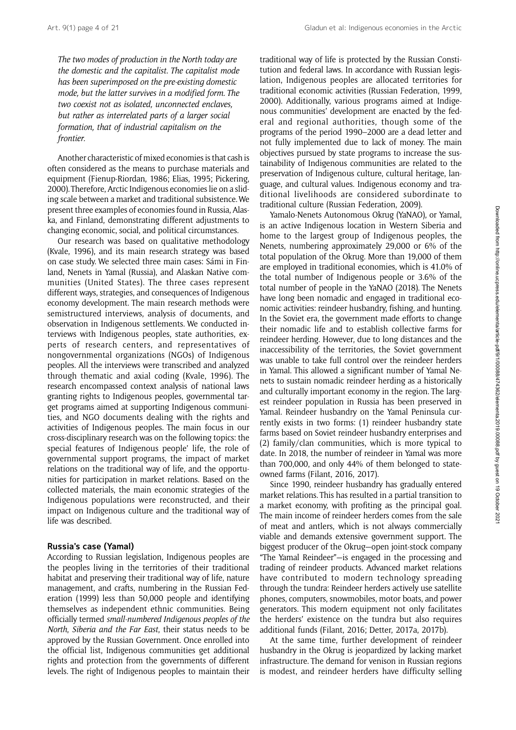Art. 9(1) page 4 of 21 Gladun et al: Indigenous economies in the Arctic

The two modes of production in the North today are the domestic and the capitalist. The capitalist mode has been superimposed on the pre-existing domestic mode, but the latter survives in a modified form. The two coexist not as isolated, unconnected enclaves, but rather as interrelated parts of a larger social formation, that of industrial capitalism on the frontier.

Another characteristic of mixed economies is that cash is often considered as the means to purchase materials and equipment (Fienup-Riordan, 1986; Elias, 1995; Pickering, 2000). Therefore, Arctic Indigenous economies lie on a sliding scale between a market and traditional subsistence. We present three examples of economies found in Russia, Alaska, and Finland, demonstrating different adjustments to changing economic, social, and political circumstances.

Our research was based on qualitative methodology (Kvale, 1996), and its main research strategy was based on case study. We selected three main cases: Sámi in Finland, Nenets in Yamal (Russia), and Alaskan Native communities (United States). The three cases represent different ways, strategies, and consequences of Indigenous economy development. The main research methods were semistructured interviews, analysis of documents, and observation in Indigenous settlements. We conducted interviews with Indigenous peoples, state authorities, experts of research centers, and representatives of nongovernmental organizations (NGOs) of Indigenous peoples. All the interviews were transcribed and analyzed through thematic and axial coding (Kvale, 1996). The research encompassed context analysis of national laws granting rights to Indigenous peoples, governmental target programs aimed at supporting Indigenous communities, and NGO documents dealing with the rights and activities of Indigenous peoples. The main focus in our cross-disciplinary research was on the following topics: the special features of Indigenous people' life, the role of governmental support programs, the impact of market relations on the traditional way of life, and the opportunities for participation in market relations. Based on the collected materials, the main economic strategies of the Indigenous populations were reconstructed, and their impact on Indigenous culture and the traditional way of life was described.

## Russia's case (Yamal)

According to Russian legislation, Indigenous peoples are the peoples living in the territories of their traditional habitat and preserving their traditional way of life, nature management, and crafts, numbering in the Russian Federation (1999) less than 50,000 people and identifying themselves as independent ethnic communities. Being officially termed small-numbered Indigenous peoples of the North, Siberia and the Far East, their status needs to be approved by the Russian Government. Once enrolled into the official list, Indigenous communities get additional rights and protection from the governments of different levels. The right of Indigenous peoples to maintain their

traditional way of life is protected by the Russian Constitution and federal laws. In accordance with Russian legislation, Indigenous peoples are allocated territories for traditional economic activities (Russian Federation, 1999, 2000). Additionally, various programs aimed at Indigenous communities' development are enacted by the federal and regional authorities, though some of the programs of the period 1990–2000 are a dead letter and not fully implemented due to lack of money. The main objectives pursued by state programs to increase the sustainability of Indigenous communities are related to the preservation of Indigenous culture, cultural heritage, language, and cultural values. Indigenous economy and traditional livelihoods are considered subordinate to traditional culture (Russian Federation, 2009).

Yamalo-Nenets Autonomous Okrug (YaNAO), or Yamal, is an active Indigenous location in Western Siberia and home to the largest group of Indigenous peoples, the Nenets, numbering approximately 29,000 or 6% of the total population of the Okrug. More than 19,000 of them are employed in traditional economies, which is 41.0% of the total number of Indigenous people or 3.6% of the total number of people in the YaNAO (2018). The Nenets have long been nomadic and engaged in traditional economic activities: reindeer husbandry, fishing, and hunting. In the Soviet era, the government made efforts to change their nomadic life and to establish collective farms for reindeer herding. However, due to long distances and the inaccessibility of the territories, the Soviet government was unable to take full control over the reindeer herders in Yamal. This allowed a significant number of Yamal Nenets to sustain nomadic reindeer herding as a historically and culturally important economy in the region. The largest reindeer population in Russia has been preserved in Yamal. Reindeer husbandry on the Yamal Peninsula currently exists in two forms: (1) reindeer husbandry state farms based on Soviet reindeer husbandry enterprises and (2) family/clan communities, which is more typical to date. In 2018, the number of reindeer in Yamal was more than 700,000, and only 44% of them belonged to stateowned farms (Filant, 2016, 2017).

Since 1990, reindeer husbandry has gradually entered market relations. This has resulted in a partial transition to a market economy, with profiting as the principal goal. The main income of reindeer herders comes from the sale of meat and antlers, which is not always commercially viable and demands extensive government support. The biggest producer of the Okrug—open joint-stock company "The Yamal Reindeer"—is engaged in the processing and trading of reindeer products. Advanced market relations have contributed to modern technology spreading through the tundra: Reindeer herders actively use satellite phones, computers, snowmobiles, motor boats, and power generators. This modern equipment not only facilitates the herders' existence on the tundra but also requires additional funds (Filant, 2016; Detter, 2017a, 2017b).

At the same time, further development of reindeer husbandry in the Okrug is jeopardized by lacking market infrastructure. The demand for venison in Russian regions is modest, and reindeer herders have difficulty selling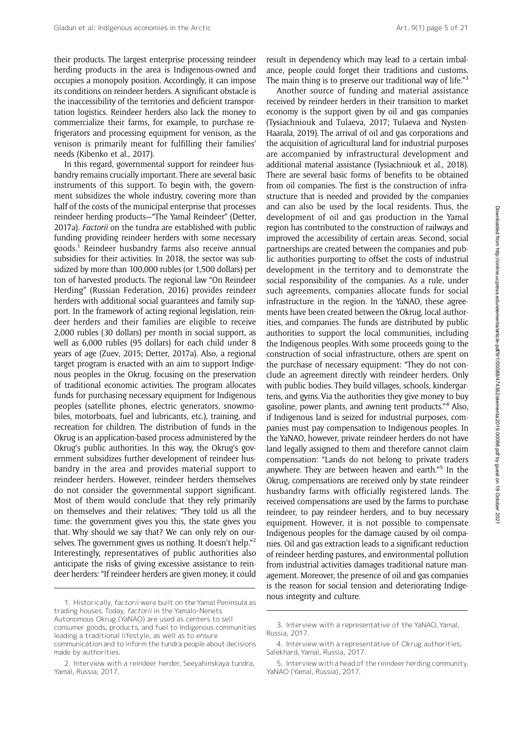their products. The largest enterprise processing reindeer herding products in the area is Indigenous-owned and occupies a monopoly position. Accordingly, it can impose its conditions on reindeer herders. A significant obstacle is the inaccessibility of the territories and deficient transportation logistics. Reindeer herders also lack the money to commercialize their farms, for example, to purchase refrigerators and processing equipment for venison, as the venison is primarily meant for fulfilling their families' needs (Kibenko et al., 2017).

In this regard, governmental support for reindeer husbandry remains crucially important. There are several basic instruments of this support. To begin with, the government subsidizes the whole industry, covering more than half of the costs of the municipal enterprise that processes reindeer herding products—"The Yamal Reindeer" (Detter, 2017a). Factorii on the tundra are established with public funding providing reindeer herders with some necessary goods.1 Reindeer husbandry farms also receive annual subsidies for their activities. In 2018, the sector was subsidized by more than 100,000 rubles (or 1,500 dollars) per ton of harvested products. The regional law "On Reindeer Herding" (Russian Federation, 2016) provides reindeer herders with additional social guarantees and family support. In the framework of acting regional legislation, reindeer herders and their families are eligible to receive 2,000 rubles (30 dollars) per month in social support, as well as 6,000 rubles (95 dollars) for each child under 8 years of age (Zuev, 2015; Detter, 2017a). Also, a regional target program is enacted with an aim to support Indigenous peoples in the Okrug, focusing on the preservation of traditional economic activities. The program allocates funds for purchasing necessary equipment for Indigenous peoples (satellite phones, electric generators, snowmobiles, motorboats, fuel and lubricants, etc.), training, and recreation for children. The distribution of funds in the Okrug is an application-based process administered by the Okrug's public authorities. In this way, the Okrug's government subsidizes further development of reindeer husbandry in the area and provides material support to reindeer herders. However, reindeer herders themselves do not consider the governmental support significant. Most of them would conclude that they rely primarily on themselves and their relatives: "They told us all the time: the government gives you this, the state gives you that. Why should we say that? We can only rely on ourselves. The government gives us nothing. It doesn't help."<sup>2</sup> Interestingly, representatives of public authorities also anticipate the risks of giving excessive assistance to reindeer herders: "If reindeer herders are given money, it could

result in dependency which may lead to a certain imbalance, people could forget their traditions and customs. The main thing is to preserve our traditional way of life."<sup>3</sup>

Another source of funding and material assistance received by reindeer herders in their transition to market economy is the support given by oil and gas companies (Tysiachniouk and Tulaeva, 2017; Tulaeva and Nysten-Haarala, 2019). The arrival of oil and gas corporations and the acquisition of agricultural land for industrial purposes are accompanied by infrastructural development and additional material assistance (Tysiachniouk et al., 2018). There are several basic forms of benefits to be obtained from oil companies. The first is the construction of infrastructure that is needed and provided by the companies and can also be used by the local residents. Thus, the development of oil and gas production in the Yamal region has contributed to the construction of railways and improved the accessibility of certain areas. Second, social partnerships are created between the companies and public authorities purporting to offset the costs of industrial development in the territory and to demonstrate the social responsibility of the companies. As a rule, under such agreements, companies allocate funds for social infrastructure in the region. In the YaNAO, these agreements have been created between the Okrug, local authorities, and companies. The funds are distributed by public authorities to support the local communities, including the Indigenous peoples. With some proceeds going to the construction of social infrastructure, others are spent on the purchase of necessary equipment: "They do not conclude an agreement directly with reindeer herders. Only with public bodies. They build villages, schools, kindergartens, and gyms. Via the authorities they give money to buy gasoline, power plants, and awning tent products."<sup>4</sup> Also, if Indigenous land is seized for industrial purposes, companies must pay compensation to Indigenous peoples. In the YaNAO, however, private reindeer herders do not have land legally assigned to them and therefore cannot claim compensation: "Lands do not belong to private traders anywhere. They are between heaven and earth." <sup>5</sup> In the Okrug, compensations are received only by state reindeer husbandry farms with officially registered lands. The received compensations are used by the farms to purchase reindeer, to pay reindeer herders, and to buy necessary equipment. However, it is not possible to compensate Indigenous peoples for the damage caused by oil companies. Oil and gas extraction leads to a significant reduction of reindeer herding pastures, and environmental pollution from industrial activities damages traditional nature management. Moreover, the presence of oil and gas companies is the reason for social tension and deteriorating Indige-

nous integrity and culture.<br>1. Historically, factorii were built on the Yamal Peninsula as trading houses. Today, factorii in the Yamalo-Nenets Autonomous Okrug (YaNAO) are used as centers to sell consumer goods, products, and fuel to Indigenous communities leading a traditional lifestyle, as well as to ensure communication and to inform the tundra people about decisions made by authorities.

<sup>2.</sup> Interview with a reindeer herder, Seeyahinskaya tundra, Yamal, Russia, 2017.

<sup>3.</sup> Interview with a representative of the YaNAO, Yamal, Russia, 2017.

<sup>4.</sup> Interview with a representative of Okrug authorities, Salekhard, Yamal, Russia, 2017.

<sup>5.</sup> Interview with a head of the reindeer herding community, YaNAO (Yamal, Russia), 2017.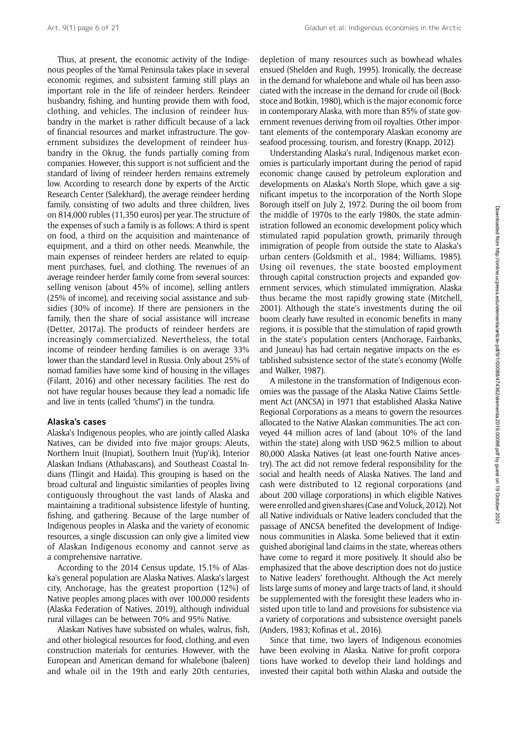Thus, at present, the economic activity of the Indigenous peoples of the Yamal Peninsula takes place in several economic regimes, and subsistent farming still plays an important role in the life of reindeer herders. Reindeer husbandry, fishing, and hunting provide them with food, clothing, and vehicles. The inclusion of reindeer husbandry in the market is rather difficult because of a lack of financial resources and market infrastructure. The government subsidizes the development of reindeer husbandry in the Okrug, the funds partially coming from companies. However, this support is not sufficient and the standard of living of reindeer herders remains extremely low. According to research done by experts of the Arctic Research Center (Salekhard), the average reindeer herding family, consisting of two adults and three children, lives on 814,000 rubles (11,350 euros) per year. The structure of the expenses of such a family is as follows: A third is spent on food, a third on the acquisition and maintenance of equipment, and a third on other needs. Meanwhile, the main expenses of reindeer herders are related to equipment purchases, fuel, and clothing. The revenues of an average reindeer herder family come from several sources: selling venison (about 45% of income), selling antlers (25% of income), and receiving social assistance and subsidies (30% of income). If there are pensioners in the family, then the share of social assistance will increase (Detter, 2017a). The products of reindeer herders are increasingly commercialized. Nevertheless, the total income of reindeer herding families is on average 33% lower than the standard level in Russia. Only about 25% of nomad families have some kind of housing in the villages (Filant, 2016) and other necessary facilities. The rest do not have regular houses because they lead a nomadic life and live in tents (called "chums") in the tundra.

#### Alaska's cases

Alaska's Indigenous peoples, who are jointly called Alaska Natives, can be divided into five major groups: Aleuts, Northern Inuit (Inupiat), Southern Inuit (Yup'ik), Interior Alaskan Indians (Athabascans), and Southeast Coastal Indians (Tlingit and Haida). This grouping is based on the broad cultural and linguistic similarities of peoples living contiguously throughout the vast lands of Alaska and maintaining a traditional subsistence lifestyle of hunting, fishing, and gathering. Because of the large number of Indigenous peoples in Alaska and the variety of economic resources, a single discussion can only give a limited view of Alaskan Indigenous economy and cannot serve as a comprehensive narrative.

According to the 2014 Census update, 15.1% of Alaska's general population are Alaska Natives. Alaska's largest city, Anchorage, has the greatest proportion (12%) of Native peoples among places with over 100,000 residents (Alaska Federation of Natives, 2019), although individual rural villages can be between 70% and 95% Native.

Alaskan Natives have subsisted on whales, walrus, fish, and other biological resources for food, clothing, and even construction materials for centuries. However, with the European and American demand for whalebone (baleen) and whale oil in the 19th and early 20th centuries, depletion of many resources such as bowhead whales ensued (Shelden and Rugh, 1995). Ironically, the decrease in the demand for whalebone and whale oil has been associated with the increase in the demand for crude oil (Bockstoce and Botkin, 1980), which is the major economic force in contemporary Alaska, with more than 85% of state government revenues deriving from oil royalties. Other important elements of the contemporary Alaskan economy are seafood processing, tourism, and forestry (Knapp, 2012).

Understanding Alaska's rural, Indigenous market economies is particularly important during the period of rapid economic change caused by petroleum exploration and developments on Alaska's North Slope, which gave a significant impetus to the incorporation of the North Slope Borough itself on July 2, 1972. During the oil boom from the middle of 1970s to the early 1980s, the state administration followed an economic development policy which stimulated rapid population growth, primarily through immigration of people from outside the state to Alaska's urban centers (Goldsmith et al., 1984; Williams, 1985). Using oil revenues, the state boosted employment through capital construction projects and expanded government services, which stimulated immigration. Alaska thus became the most rapidly growing state (Mitchell, 2001). Although the state's investments during the oil boom clearly have resulted in economic benefits in many regions, it is possible that the stimulation of rapid growth in the state's population centers (Anchorage, Fairbanks, and Juneau) has had certain negative impacts on the established subsistence sector of the state's economy (Wolfe and Walker, 1987).

A milestone in the transformation of Indigenous economies was the passage of the Alaska Native Claims Settlement Act (ANCSA) in 1971 that established Alaska Native Regional Corporations as a means to govern the resources allocated to the Native Alaskan communities. The act conveyed 44 million acres of land (about 10% of the land within the state) along with USD 962.5 million to about 80,000 Alaska Natives (at least one-fourth Native ancestry). The act did not remove federal responsibility for the social and health needs of Alaska Natives. The land and cash were distributed to 12 regional corporations (and about 200 village corporations) in which eligible Natives were enrolled and given shares (Case and Voluck, 2012). Not all Native individuals or Native leaders concluded that the passage of ANCSA benefited the development of Indigenous communities in Alaska. Some believed that it extinguished aboriginal land claims in the state, whereas others have come to regard it more positively. It should also be emphasized that the above description does not do justice to Native leaders' forethought. Although the Act merely lists large sums of money and large tracts of land, it should be supplemented with the foresight these leaders who insisted upon title to land and provisions for subsistence via a variety of corporations and subsistence oversight panels (Anders, 1983; Kofinas et al., 2016).

Since that time, two layers of Indigenous economies have been evolving in Alaska. Native for-profit corporations have worked to develop their land holdings and invested their capital both within Alaska and outside the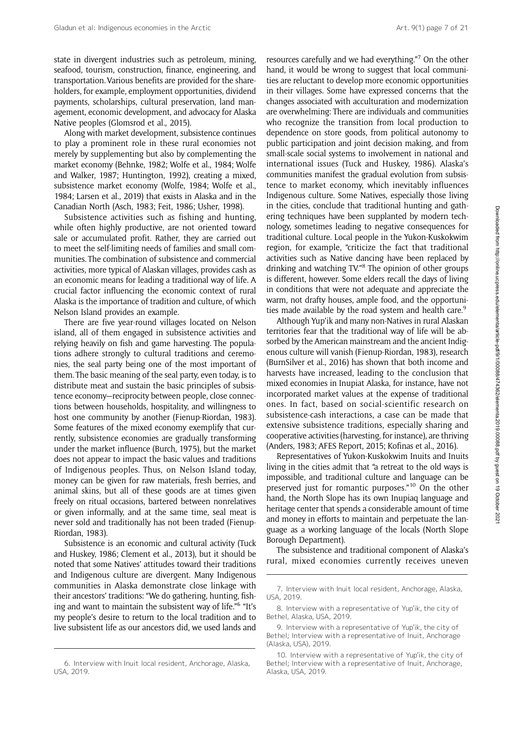state in divergent industries such as petroleum, mining, seafood, tourism, construction, finance, engineering, and transportation. Various benefits are provided for the shareholders, for example, employment opportunities, dividend payments, scholarships, cultural preservation, land management, economic development, and advocacy for Alaska Native peoples (Glomsrod et al., 2015).

Along with market development, subsistence continues to play a prominent role in these rural economies not merely by supplementing but also by complementing the market economy (Behnke, 1982; Wolfe et al., 1984; Wolfe and Walker, 1987; Huntington, 1992), creating a mixed, subsistence market economy (Wolfe, 1984; Wolfe et al., 1984; Larsen et al., 2019) that exists in Alaska and in the Canadian North (Asch, 1983; Feit, 1986; Usher, 1998).

Subsistence activities such as fishing and hunting, while often highly productive, are not oriented toward sale or accumulated profit. Rather, they are carried out to meet the self-limiting needs of families and small communities. The combination of subsistence and commercial activities, more typical of Alaskan villages, provides cash as an economic means for leading a traditional way of life. A crucial factor influencing the economic context of rural Alaska is the importance of tradition and culture, of which Nelson Island provides an example.

There are five year-round villages located on Nelson island, all of them engaged in subsistence activities and relying heavily on fish and game harvesting. The populations adhere strongly to cultural traditions and ceremonies, the seal party being one of the most important of them. The basic meaning of the seal party, even today, is to distribute meat and sustain the basic principles of subsistence economy—reciprocity between people, close connections between households, hospitality, and willingness to host one community by another (Fienup-Riordan, 1983). Some features of the mixed economy exemplify that currently, subsistence economies are gradually transforming under the market influence (Burch, 1975), but the market does not appear to impact the basic values and traditions of Indigenous peoples. Thus, on Nelson Island today, money can be given for raw materials, fresh berries, and animal skins, but all of these goods are at times given freely on ritual occasions, bartered between nonrelatives or given informally, and at the same time, seal meat is never sold and traditionally has not been traded (Fienup-Riordan, 1983).

Subsistence is an economic and cultural activity (Tuck and Huskey, 1986; Clement et al., 2013), but it should be noted that some Natives' attitudes toward their traditions and Indigenous culture are divergent. Many Indigenous communities in Alaska demonstrate close linkage with their ancestors' traditions: "We do gathering, hunting, fishing and want to maintain the subsistent way of life." <sup>6</sup> "It's my people's desire to return to the local tradition and to live subsistent life as our ancestors did, we used lands and

resources carefully and we had everything." <sup>7</sup> On the other hand, it would be wrong to suggest that local communities are reluctant to develop more economic opportunities in their villages. Some have expressed concerns that the changes associated with acculturation and modernization are overwhelming: There are individuals and communities who recognize the transition from local production to dependence on store goods, from political autonomy to public participation and joint decision making, and from small-scale social systems to involvement in national and international issues (Tuck and Huskey, 1986). Alaska's communities manifest the gradual evolution from subsistence to market economy, which inevitably influences Indigenous culture. Some Natives, especially those living in the cities, conclude that traditional hunting and gathering techniques have been supplanted by modern technology, sometimes leading to negative consequences for traditional culture. Local people in the Yukon-Kuskokwim region, for example, "criticize the fact that traditional activities such as Native dancing have been replaced by drinking and watching TV."<sup>8</sup> The opinion of other groups is different, however. Some elders recall the days of living in conditions that were not adequate and appreciate the warm, not drafty houses, ample food, and the opportunities made available by the road system and health care.<sup>9</sup>

Although Yup'ik and many non-Natives in rural Alaskan territories fear that the traditional way of life will be absorbed by the American mainstream and the ancient Indigenous culture will vanish (Fienup-Riordan, 1983), research (BurnSilver et al., 2016) has shown that both income and harvests have increased, leading to the conclusion that mixed economies in Inupiat Alaska, for instance, have not incorporated market values at the expense of traditional ones. In fact, based on social-scientific research on subsistence-cash interactions, a case can be made that extensive subsistence traditions, especially sharing and cooperative activities (harvesting, for instance), are thriving (Anders, 1983; AFES Report, 2015; Kofinas et al., 2016).

Representatives of Yukon-Kuskokwim Inuits and Inuits living in the cities admit that "a retreat to the old ways is impossible, and traditional culture and language can be preserved just for romantic purposes."<sup>10</sup> On the other hand, the North Slope has its own Inupiaq language and heritage center that spends a considerable amount of time and money in efforts to maintain and perpetuate the language as a working language of the locals (North Slope Borough Department).

The subsistence and traditional component of Alaska's rural, mixed economies currently receives uneven

<sup>6.</sup> Interview with Inuit local resident, Anchorage, Alaska, USA, 2019.

<sup>7.</sup> Interview with Inuit local resident, Anchorage, Alaska, USA, 2019.

<sup>8.</sup> Interview with a representative of Yup'ik, the city of Bethel, Alaska, USA, 2019.

<sup>9.</sup> Interview with a representative of Yup'ik, the city of Bethel; Interview with a representative of Inuit, Anchorage (Alaska, USA), 2019.

<sup>10.</sup> Interview with a representative of Yup'ik, the city of Bethel; Interview with a representative of Inuit, Anchorage, Alaska, USA, 2019.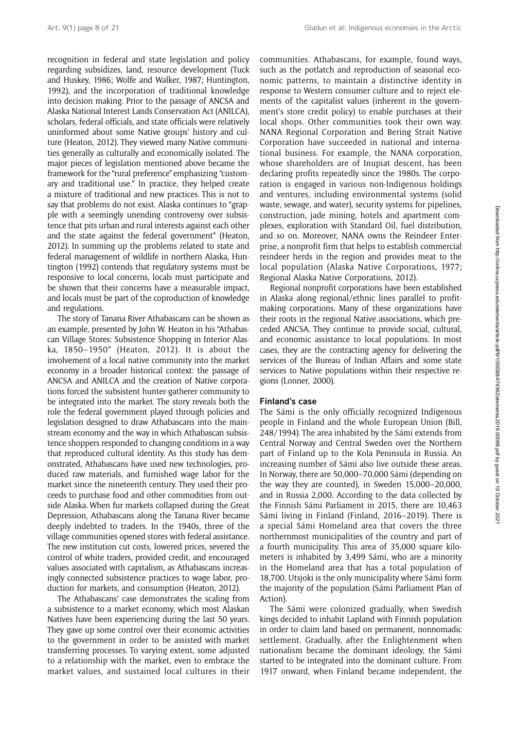recognition in federal and state legislation and policy regarding subsidizes, land, resource development (Tuck and Huskey, 1986; Wolfe and Walker, 1987; Huntington, 1992), and the incorporation of traditional knowledge into decision making. Prior to the passage of ANCSA and Alaska National Interest Lands Conservation Act (ANILCA), scholars, federal officials, and state officials were relatively uninformed about some Native groups' history and culture (Heaton, 2012). They viewed many Native communities generally as culturally and economically isolated. The major pieces of legislation mentioned above became the framework for the "rural preference" emphasizing "customary and traditional use." In practice, they helped create a mixture of traditional and new practices. This is not to say that problems do not exist. Alaska continues to "grapple with a seemingly unending controversy over subsistence that pits urban and rural interests against each other and the state against the federal government" (Heaton, 2012). In summing up the problems related to state and federal management of wildlife in northern Alaska, Huntington (1992) contends that regulatory systems must be responsive to local concerns, locals must participate and be shown that their concerns have a measurable impact, and locals must be part of the coproduction of knowledge and regulations.

The story of Tanana River Athabascans can be shown as an example, presented by John W. Heaton in his "Athabascan Village Stores: Subsistence Shopping in Interior Alaska, 1850–1950" (Heaton, 2012). It is about the involvement of a local native community into the market economy in a broader historical context: the passage of ANCSA and ANILCA and the creation of Native corporations forced the subsistent hunter-gatherer community to be integrated into the market. The story reveals both the role the federal government played through policies and legislation designed to draw Athabascans into the mainstream economy and the way in which Athabascan subsistence shoppers responded to changing conditions in a way that reproduced cultural identity. As this study has demonstrated, Athabascans have used new technologies, produced raw materials, and furnished wage labor for the market since the nineteenth century. They used their proceeds to purchase food and other commodities from outside Alaska. When fur markets collapsed during the Great Depression, Athabascans along the Tanana River became deeply indebted to traders. In the 1940s, three of the village communities opened stores with federal assistance. The new institution cut costs, lowered prices, severed the control of white traders, provided credit, and encouraged values associated with capitalism, as Athabascans increasingly connected subsistence practices to wage labor, production for markets, and consumption (Heaton, 2012).

The Athabascans' case demonstrates the scaling from a subsistence to a market economy, which most Alaskan Natives have been experiencing during the last 50 years. They gave up some control over their economic activities to the government in order to be assisted with market transferring processes. To varying extent, some adjusted to a relationship with the market, even to embrace the market values, and sustained local cultures in their communities. Athabascans, for example, found ways, such as the potlatch and reproduction of seasonal economic patterns, to maintain a distinctive identity in response to Western consumer culture and to reject elements of the capitalist values (inherent in the government's store credit policy) to enable purchases at their local shops. Other communities took their own way. NANA Regional Corporation and Bering Strait Native Corporation have succeeded in national and international business. For example, the NANA corporation, whose shareholders are of Inupiat descent, has been declaring profits repeatedly since the 1980s. The corporation is engaged in various non-Indigenous holdings and ventures, including environmental systems (solid waste, sewage, and water), security systems for pipelines, construction, jade mining, hotels and apartment complexes, exploration with Standard Oil, fuel distribution, and so on. Moreover, NANA owns the Reindeer Enterprise, a nonprofit firm that helps to establish commercial reindeer herds in the region and provides meat to the local population (Alaska Native Corporations, 1977; Regional Alaska Native Corporations, 2012).

Regional nonprofit corporations have been established in Alaska along regional/ethnic lines parallel to profitmaking corporations. Many of these organizations have their roots in the regional Native associations, which preceded ANCSA. They continue to provide social, cultural, and economic assistance to local populations. In most cases, they are the contracting agency for delivering the services of the Bureau of Indian Affairs and some state services to Native populations within their respective regions (Lonner, 2000).

#### Finland's case

The Sámi is the only officially recognized Indigenous people in Finland and the whole European Union (Bill, 248/1994). The area inhabited by the Sámi extends from Central Norway and Central Sweden over the Northern part of Finland up to the Kola Peninsula in Russia. An increasing number of Sámi also live outside these areas. In Norway, there are 50,000–70,000 Sámi (depending on the way they are counted), in Sweden 15,000–20,000, and in Russia 2,000. According to the data collected by the Finnish Sámi Parliament in 2015, there are 10,463 Sámi living in Finland (Finland, 2016–2019). There is a special Sámi Homeland area that covers the three northernmost municipalities of the country and part of a fourth municipality. This area of 35,000 square kilometers is inhabited by 3,499 Sámi, who are a minority in the Homeland area that has a total population of 18,700. Utsjoki is the only municipality where Sámi form the majority of the population (Sámi Parliament Plan of Action).

The Sámi were colonized gradually, when Swedish kings decided to inhabit Lapland with Finnish population in order to claim land based on permanent, nonnomadic settlement. Gradually, after the Enlightenment when nationalism became the dominant ideology, the Sámi started to be integrated into the dominant culture. From 1917 onward, when Finland became independent, the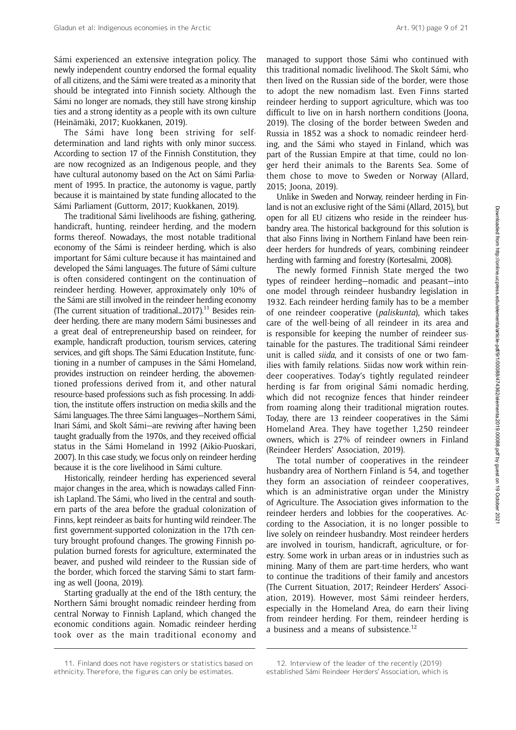Sámi experienced an extensive integration policy. The newly independent country endorsed the formal equality of all citizens, and the Sámi were treated as a minority that should be integrated into Finnish society. Although the Sámi no longer are nomads, they still have strong kinship ties and a strong identity as a people with its own culture (Heinämäki, 2017; Kuokkanen, 2019).

The Sámi have long been striving for selfdetermination and land rights with only minor success. According to section 17 of the Finnish Constitution, they are now recognized as an Indigenous people, and they have cultural autonomy based on the Act on Sámi Parliament of 1995. In practice, the autonomy is vague, partly because it is maintained by state funding allocated to the Sámi Parliament (Guttorm, 2017; Kuokkanen, 2019).

The traditional Sámi livelihoods are fishing, gathering, handicraft, hunting, reindeer herding, and the modern forms thereof. Nowadays, the most notable traditional economy of the Sámi is reindeer herding, which is also important for Sámi culture because it has maintained and developed the Sámi languages. The future of Sámi culture is often considered contingent on the continuation of reindeer herding. However, approximately only 10% of the Sámi are still involved in the reindeer herding economy (The current situation of traditional...2017).<sup>11</sup> Besides reindeer herding, there are many modern Sámi businesses and a great deal of entrepreneurship based on reindeer, for example, handicraft production, tourism services, catering services, and gift shops. The Sámi Education Institute, functioning in a number of campuses in the Sámi Homeland, provides instruction on reindeer herding, the abovementioned professions derived from it, and other natural resource-based professions such as fish processing. In addition, the institute offers instruction on media skills and the Sámi languages. The three Sámi languages—Northern Sámi, Inari Sámi, and Skolt Sámi—are reviving after having been taught gradually from the 1970s, and they received official status in the Sámi Homeland in 1992 (Aikio-Puoskari, 2007). In this case study, we focus only on reindeer herding because it is the core livelihood in Sámi culture.

Historically, reindeer herding has experienced several major changes in the area, which is nowadays called Finnish Lapland. The Sámi, who lived in the central and southern parts of the area before the gradual colonization of Finns, kept reindeer as baits for hunting wild reindeer. The first government-supported colonization in the 17th century brought profound changes. The growing Finnish population burned forests for agriculture, exterminated the beaver, and pushed wild reindeer to the Russian side of the border, which forced the starving Sámi to start farming as well (Joona, 2019).

Starting gradually at the end of the 18th century, the Northern Sámi brought nomadic reindeer herding from central Norway to Finnish Lapland, which changed the economic conditions again. Nomadic reindeer herding took over as the main traditional economy and

managed to support those Sámi who continued with this traditional nomadic livelihood. The Skolt Sámi, who then lived on the Russian side of the border, were those to adopt the new nomadism last. Even Finns started reindeer herding to support agriculture, which was too difficult to live on in harsh northern conditions (Joona, 2019). The closing of the border between Sweden and Russia in 1852 was a shock to nomadic reindeer herding, and the Sámi who stayed in Finland, which was part of the Russian Empire at that time, could no longer herd their animals to the Barents Sea. Some of them chose to move to Sweden or Norway (Allard, 2015; Joona, 2019).

Unlike in Sweden and Norway, reindeer herding in Finland is not an exclusive right of the Sámi (Allard, 2015), but open for all EU citizens who reside in the reindeer husbandry area. The historical background for this solution is that also Finns living in Northern Finland have been reindeer herders for hundreds of years, combining reindeer herding with farming and forestry (Kortesalmi, 2008).

The newly formed Finnish State merged the two types of reindeer herding—nomadic and peasant—into one model through reindeer husbandry legislation in 1932. Each reindeer herding family has to be a member of one reindeer cooperative (paliskunta), which takes care of the well-being of all reindeer in its area and is responsible for keeping the number of reindeer sustainable for the pastures. The traditional Sámi reindeer unit is called siida, and it consists of one or two families with family relations. Siidas now work within reindeer cooperatives. Today's tightly regulated reindeer herding is far from original Sámi nomadic herding, which did not recognize fences that hinder reindeer from roaming along their traditional migration routes. Today, there are 13 reindeer cooperatives in the Sámi Homeland Area. They have together 1,250 reindeer owners, which is 27% of reindeer owners in Finland (Reindeer Herders' Association, 2019).

The total number of cooperatives in the reindeer husbandry area of Northern Finland is 54, and together they form an association of reindeer cooperatives, which is an administrative organ under the Ministry of Agriculture. The Association gives information to the reindeer herders and lobbies for the cooperatives. According to the Association, it is no longer possible to live solely on reindeer husbandry. Most reindeer herders are involved in tourism, handicraft, agriculture, or forestry. Some work in urban areas or in industries such as mining. Many of them are part-time herders, who want to continue the traditions of their family and ancestors (The Current Situation, 2017; Reindeer Herders' Association, 2019). However, most Sámi reindeer herders, especially in the Homeland Area, do earn their living from reindeer herding. For them, reindeer herding is a business and a means of subsistence.12

<sup>11.</sup> Finland does not have registers or statistics based on ethnicity. Therefore, the figures can only be estimates.

<sup>12.</sup> Interview of the leader of the recently (2019) established Sámi Reindeer Herders' Association, which is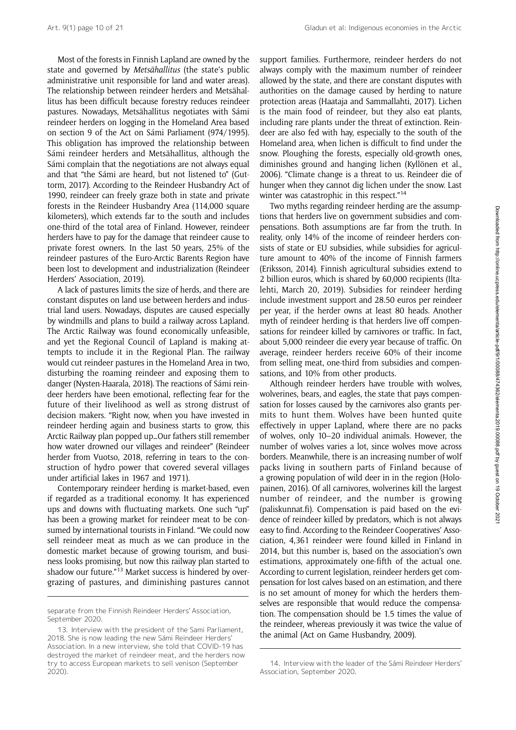Most of the forests in Finnish Lapland are owned by the state and governed by Metsähallitus (the state's public administrative unit responsible for land and water areas). The relationship between reindeer herders and Metsähallitus has been difficult because forestry reduces reindeer pastures. Nowadays, Metsähallitus negotiates with Sámi reindeer herders on logging in the Homeland Area based on section 9 of the Act on Sámi Parliament (974/1995). This obligation has improved the relationship between Sámi reindeer herders and Metsähallitus, although the Sámi complain that the negotiations are not always equal and that "the Sámi are heard, but not listened to" (Guttorm, 2017). According to the Reindeer Husbandry Act of 1990, reindeer can freely graze both in state and private forests in the Reindeer Husbandry Area (114,000 square kilometers), which extends far to the south and includes one-third of the total area of Finland. However, reindeer herders have to pay for the damage that reindeer cause to private forest owners. In the last 50 years, 25% of the reindeer pastures of the Euro-Arctic Barents Region have been lost to development and industrialization (Reindeer Herders' Association, 2019).

A lack of pastures limits the size of herds, and there are constant disputes on land use between herders and industrial land users. Nowadays, disputes are caused especially by windmills and plans to build a railway across Lapland. The Arctic Railway was found economically unfeasible, and yet the Regional Council of Lapland is making attempts to include it in the Regional Plan. The railway would cut reindeer pastures in the Homeland Area in two, disturbing the roaming reindeer and exposing them to danger (Nysten-Haarala, 2018). The reactions of Sámi reindeer herders have been emotional, reflecting fear for the future of their livelihood as well as strong distrust of decision makers. "Right now, when you have invested in reindeer herding again and business starts to grow, this Arctic Railway plan popped up…Our fathers still remember how water drowned our villages and reindeer" (Reindeer herder from Vuotso, 2018, referring in tears to the construction of hydro power that covered several villages under artificial lakes in 1967 and 1971).

Contemporary reindeer herding is market-based, even if regarded as a traditional economy. It has experienced ups and downs with fluctuating markets. One such "up" has been a growing market for reindeer meat to be consumed by international tourists in Finland. "We could now sell reindeer meat as much as we can produce in the domestic market because of growing tourism, and business looks promising, but now this railway plan started to shadow our future."<sup>13</sup> Market success is hindered by overgrazing of pastures, and diminishing pastures cannot support families. Furthermore, reindeer herders do not always comply with the maximum number of reindeer allowed by the state, and there are constant disputes with authorities on the damage caused by herding to nature protection areas (Haataja and Sammallahti, 2017). Lichen is the main food of reindeer, but they also eat plants, including rare plants under the threat of extinction. Reindeer are also fed with hay, especially to the south of the Homeland area, when lichen is difficult to find under the snow. Ploughing the forests, especially old-growth ones, diminishes ground and hanging lichen (Kyllönen et al., 2006). "Climate change is a threat to us. Reindeer die of hunger when they cannot dig lichen under the snow. Last winter was catastrophic in this respect."<sup>14</sup>

Two myths regarding reindeer herding are the assumptions that herders live on government subsidies and compensations. Both assumptions are far from the truth. In reality, only 14% of the income of reindeer herders consists of state or EU subsidies, while subsidies for agriculture amount to 40% of the income of Finnish farmers (Eriksson, 2014). Finnish agricultural subsidies extend to 2 billion euros, which is shared by 60,000 recipients (Iltalehti, March 20, 2019). Subsidies for reindeer herding include investment support and 28.50 euros per reindeer per year, if the herder owns at least 80 heads. Another myth of reindeer herding is that herders live off compensations for reindeer killed by carnivores or traffic. In fact, about 5,000 reindeer die every year because of traffic. On average, reindeer herders receive 60% of their income from selling meat, one-third from subsidies and compensations, and 10% from other products.

Although reindeer herders have trouble with wolves, wolverines, bears, and eagles, the state that pays compensation for losses caused by the carnivores also grants permits to hunt them. Wolves have been hunted quite effectively in upper Lapland, where there are no packs of wolves, only 10–20 individual animals. However, the number of wolves varies a lot, since wolves move across borders. Meanwhile, there is an increasing number of wolf packs living in southern parts of Finland because of a growing population of wild deer in in the region (Holopainen, 2016). Of all carnivores, wolverines kill the largest number of reindeer, and the number is growing [\(paliskunnat.fi](paliskunnat.fi)). Compensation is paid based on the evidence of reindeer killed by predators, which is not always easy to find. According to the Reindeer Cooperatives' Association, 4,361 reindeer were found killed in Finland in 2014, but this number is, based on the association's own estimations, approximately one-fifth of the actual one. According to current legislation, reindeer herders get compensation for lost calves based on an estimation, and there is no set amount of money for which the herders themselves are responsible that would reduce the compensation. The compensation should be 1.5 times the value of the reindeer, whereas previously it was twice the value of the animal (Act on Game Husbandry, 2009).

separate from the Finnish Reindeer Herders' Association, September 2020.

<sup>13.</sup> Interview with the president of the Sami Parliament, 2018. She is now leading the new Sámi Reindeer Herders' Association. In a new interview, she told that COVID-19 has destroyed the market of reindeer meat, and the herders now try to access European markets to sell venison (September 2020).

<sup>14.</sup> Interview with the leader of the Sámi Reindeer Herders' Association, September 2020.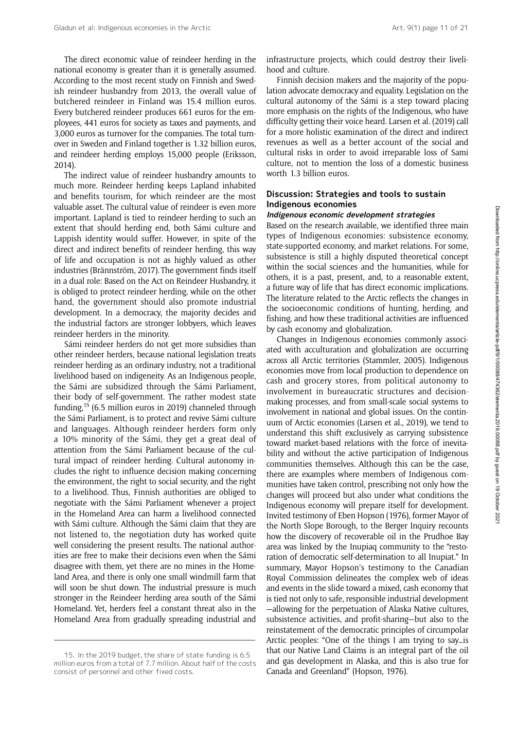The direct economic value of reindeer herding in the national economy is greater than it is generally assumed. According to the most recent study on Finnish and Swedish reindeer husbandry from 2013, the overall value of butchered reindeer in Finland was 15.4 million euros. Every butchered reindeer produces 661 euros for the employees, 441 euros for society as taxes and payments, and 3,000 euros as turnover for the companies. The total turnover in Sweden and Finland together is 1.32 billion euros, and reindeer herding employs 15,000 people (Eriksson, 2014).

The indirect value of reindeer husbandry amounts to much more. Reindeer herding keeps Lapland inhabited and benefits tourism, for which reindeer are the most valuable asset. The cultural value of reindeer is even more important. Lapland is tied to reindeer herding to such an extent that should herding end, both Sámi culture and Lappish identity would suffer. However, in spite of the direct and indirect benefits of reindeer herding, this way of life and occupation is not as highly valued as other industries (Brännström, 2017). The government finds itself in a dual role: Based on the Act on Reindeer Husbandry, it is obliged to protect reindeer herding, while on the other hand, the government should also promote industrial development. In a democracy, the majority decides and the industrial factors are stronger lobbyers, which leaves reindeer herders in the minority.

Sámi reindeer herders do not get more subsidies than other reindeer herders, because national legislation treats reindeer herding as an ordinary industry, not a traditional livelihood based on indigeneity. As an Indigenous people, the Sámi are subsidized through the Sámi Parliament, their body of self-government. The rather modest state funding,15 (6.5 million euros in 2019) channeled through the Sámi Parliament, is to protect and revive Sámi culture and languages. Although reindeer herders form only a 10% minority of the Sámi, they get a great deal of attention from the Sámi Parliament because of the cultural impact of reindeer herding. Cultural autonomy includes the right to influence decision making concerning the environment, the right to social security, and the right to a livelihood. Thus, Finnish authorities are obliged to negotiate with the Sámi Parliament whenever a project in the Homeland Area can harm a livelihood connected with Sámi culture. Although the Sámi claim that they are not listened to, the negotiation duty has worked quite well considering the present results. The national authorities are free to make their decisions even when the Sámi disagree with them, yet there are no mines in the Homeland Area, and there is only one small windmill farm that will soon be shut down. The industrial pressure is much stronger in the Reindeer herding area south of the Sámi Homeland. Yet, herders feel a constant threat also in the Homeland Area from gradually spreading industrial and

infrastructure projects, which could destroy their livelihood and culture.

Finnish decision makers and the majority of the population advocate democracy and equality. Legislation on the cultural autonomy of the Sámi is a step toward placing more emphasis on the rights of the Indigenous, who have difficulty getting their voice heard. Larsen et al. (2019) call for a more holistic examination of the direct and indirect revenues as well as a better account of the social and cultural risks in order to avoid irreparable loss of Sami culture, not to mention the loss of a domestic business worth 1.3 billion euros.

#### Discussion: Strategies and tools to sustain Indigenous economies

#### Indigenous economic development strategies

Based on the research available, we identified three main types of Indigenous economies: subsistence economy, state-supported economy, and market relations. For some, subsistence is still a highly disputed theoretical concept within the social sciences and the humanities, while for others, it is a past, present, and, to a reasonable extent, a future way of life that has direct economic implications. The literature related to the Arctic reflects the changes in the socioeconomic conditions of hunting, herding, and fishing, and how these traditional activities are influenced by cash economy and globalization.

Changes in Indigenous economies commonly associated with acculturation and globalization are occurring across all Arctic territories (Stammler, 2005). Indigenous economies move from local production to dependence on cash and grocery stores, from political autonomy to involvement in bureaucratic structures and decisionmaking processes, and from small-scale social systems to involvement in national and global issues. On the continuum of Arctic economies (Larsen et al., 2019), we tend to understand this shift exclusively as carrying subsistence toward market-based relations with the force of inevitability and without the active participation of Indigenous communities themselves. Although this can be the case, there are examples where members of Indigenous communities have taken control, prescribing not only how the changes will proceed but also under what conditions the Indigenous economy will prepare itself for development. Invited testimony of Eben Hopson (1976), former Mayor of the North Slope Borough, to the Berger Inquiry recounts how the discovery of recoverable oil in the Prudhoe Bay area was linked by the Inupiaq community to the "restoration of democratic self-determination to all Inupiat." In summary, Mayor Hopson's testimony to the Canadian Royal Commission delineates the complex web of ideas and events in the slide toward a mixed, cash economy that is tied not only to safe, responsible industrial development —allowing for the perpetuation of Alaska Native cultures, subsistence activities, and profit-sharing—but also to the reinstatement of the democratic principles of circumpolar Arctic peoples: "One of the things I am trying to say…is that our Native Land Claims is an integral part of the oil and gas development in Alaska, and this is also true for Canada and Greenland" (Hopson, 1976).

<sup>15.</sup> In the 2019 budget, the share of state funding is 6.5 million euros from a total of 7.7 million. About half of the costs consist of personnel and other fixed costs.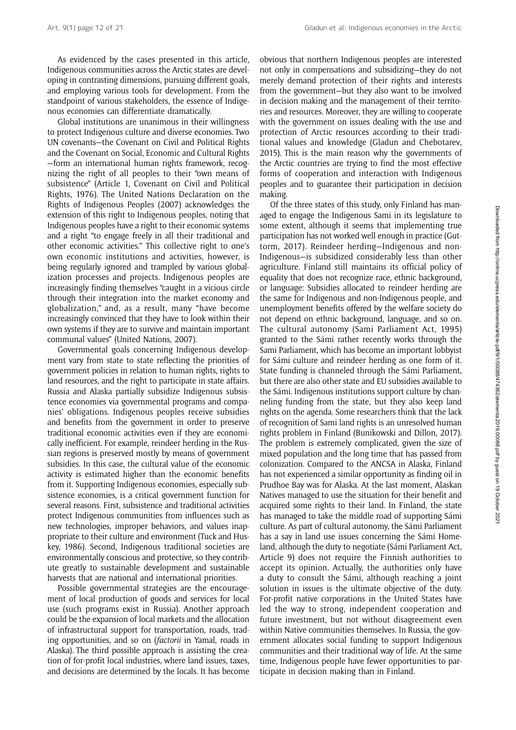As evidenced by the cases presented in this article, Indigenous communities across the Arctic states are developing in contrasting dimensions, pursuing different goals, and employing various tools for development. From the standpoint of various stakeholders, the essence of Indigenous economies can differentiate dramatically.

Global institutions are unanimous in their willingness to protect Indigenous culture and diverse economies. Two UN covenants—the Covenant on Civil and Political Rights and the Covenant on Social, Economic and Cultural Rights —form an international human rights framework, recognizing the right of all peoples to their "own means of subsistence" (Article 1, Covenant on Civil and Political Rights, 1976). The United Nations Declaration on the Rights of Indigenous Peoples (2007) acknowledges the extension of this right to Indigenous peoples, noting that Indigenous peoples have a right to their economic systems and a right "to engage freely in all their traditional and other economic activities." This collective right to one's own economic institutions and activities, however, is being regularly ignored and trampled by various globalization processes and projects. Indigenous peoples are increasingly finding themselves "caught in a vicious circle through their integration into the market economy and globalization," and, as a result, many "have become increasingly convinced that they have to look within their own systems if they are to survive and maintain important communal values" (United Nations, 2007).

Governmental goals concerning Indigenous development vary from state to state reflecting the priorities of government policies in relation to human rights, rights to land resources, and the right to participate in state affairs. Russia and Alaska partially subsidize Indigenous subsistence economies via governmental programs and companies' obligations. Indigenous peoples receive subsidies and benefits from the government in order to preserve traditional economic activities even if they are economically inefficient. For example, reindeer herding in the Russian regions is preserved mostly by means of government subsidies. In this case, the cultural value of the economic activity is estimated higher than the economic benefits from it. Supporting Indigenous economies, especially subsistence economies, is a critical government function for several reasons. First, subsistence and traditional activities protect Indigenous communities from influences such as new technologies, improper behaviors, and values inappropriate to their culture and environment (Tuck and Huskey, 1986). Second, Indigenous traditional societies are environmentally conscious and protective, so they contribute greatly to sustainable development and sustainable harvests that are national and international priorities.

Possible governmental strategies are the encouragement of local production of goods and services for local use (such programs exist in Russia). Another approach could be the expansion of local markets and the allocation of infrastructural support for transportation, roads, trading opportunities, and so on (factorii in Yamal, roads in Alaska). The third possible approach is assisting the creation of for-profit local industries, where land issues, taxes, and decisions are determined by the locals. It has become obvious that northern Indigenous peoples are interested not only in compensations and subsidizing—they do not merely demand protection of their rights and interests from the government—but they also want to be involved in decision making and the management of their territories and resources. Moreover, they are willing to cooperate with the government on issues dealing with the use and protection of Arctic resources according to their traditional values and knowledge (Gladun and Chebotarev, 2015). This is the main reason why the governments of the Arctic countries are trying to find the most effective forms of cooperation and interaction with Indigenous peoples and to guarantee their participation in decision making.

Of the three states of this study, only Finland has managed to engage the Indigenous Sami in its legislature to some extent, although it seems that implementing true participation has not worked well enough in practice (Guttorm, 2017). Reindeer herding—Indigenous and non-Indigenous—is subsidized considerably less than other agriculture. Finland still maintains its official policy of equality that does not recognize race, ethnic background, or language: Subsidies allocated to reindeer herding are the same for Indigenous and non-Indigenous people, and unemployment benefits offered by the welfare society do not depend on ethnic background, language, and so on. The cultural autonomy (Sami Parliament Act, 1995) granted to the Sámi rather recently works through the Sami Parliament, which has become an important lobbyist for Sámi culture and reindeer herding as one form of it. State funding is channeled through the Sámi Parliament, but there are also other state and EU subsidies available to the Sámi. Indigenous institutions support culture by channeling funding from the state, but they also keep land rights on the agenda. Some researchers think that the lack of recognition of Sami land rights is an unresolved human rights problem in Finland (Bunikowski and Dillon, 2017). The problem is extremely complicated, given the size of mixed population and the long time that has passed from colonization. Compared to the ANCSA in Alaska, Finland has not experienced a similar opportunity as finding oil in Prudhoe Bay was for Alaska. At the last moment, Alaskan Natives managed to use the situation for their benefit and acquired some rights to their land. In Finland, the state has managed to take the middle road of supporting Sámi culture. As part of cultural autonomy, the Sámi Parliament has a say in land use issues concerning the Sámi Homeland, although the duty to negotiate (Sámi Parliament Act, Article 9) does not require the Finnish authorities to accept its opinion. Actually, the authorities only have a duty to consult the Sámi, although reaching a joint solution in issues is the ultimate objective of the duty. For-profit native corporations in the United States have led the way to strong, independent cooperation and future investment, but not without disagreement even within Native communities themselves. In Russia, the government allocates social funding to support Indigenous communities and their traditional way of life. At the same time, Indigenous people have fewer opportunities to participate in decision making than in Finland.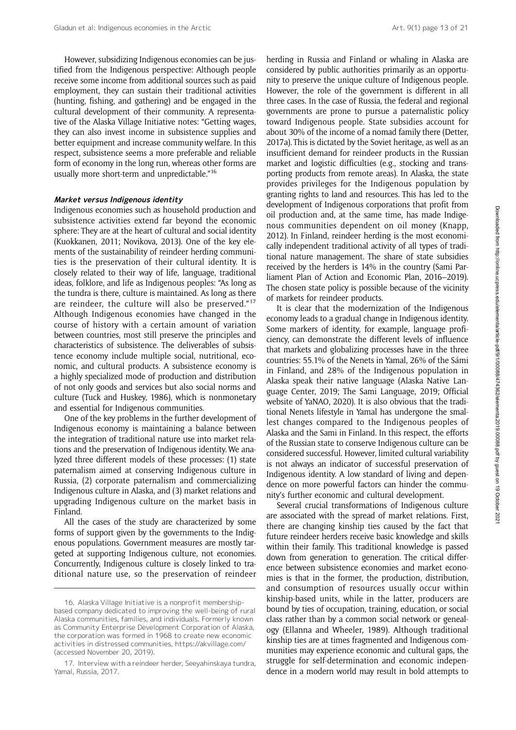However, subsidizing Indigenous economies can be justified from the Indigenous perspective: Although people receive some income from additional sources such as paid employment, they can sustain their traditional activities (hunting, fishing, and gathering) and be engaged in the cultural development of their community. A representative of the Alaska Village Initiative notes: "Getting wages, they can also invest income in subsistence supplies and better equipment and increase community welfare. In this respect, subsistence seems a more preferable and reliable form of economy in the long run, whereas other forms are usually more short-term and unpredictable."<sup>16</sup>

#### Market versus Indigenous identity

Indigenous economies such as household production and subsistence activities extend far beyond the economic sphere: They are at the heart of cultural and social identity (Kuokkanen, 2011; Novikova, 2013). One of the key elements of the sustainability of reindeer herding communities is the preservation of their cultural identity. It is closely related to their way of life, language, traditional ideas, folklore, and life as Indigenous peoples: "As long as the tundra is there, culture is maintained. As long as there are reindeer, the culture will also be preserved."<sup>17</sup> Although Indigenous economies have changed in the course of history with a certain amount of variation between countries, most still preserve the principles and characteristics of subsistence. The deliverables of subsistence economy include multiple social, nutritional, economic, and cultural products. A subsistence economy is a highly specialized mode of production and distribution of not only goods and services but also social norms and culture (Tuck and Huskey, 1986), which is nonmonetary and essential for Indigenous communities.

One of the key problems in the further development of Indigenous economy is maintaining a balance between the integration of traditional nature use into market relations and the preservation of Indigenous identity. We analyzed three different models of these processes: (1) state paternalism aimed at conserving Indigenous culture in Russia, (2) corporate paternalism and commercializing Indigenous culture in Alaska, and (3) market relations and upgrading Indigenous culture on the market basis in Finland.

All the cases of the study are characterized by some forms of support given by the governments to the Indigenous populations. Government measures are mostly targeted at supporting Indigenous culture, not economies. Concurrently, Indigenous culture is closely linked to traditional nature use, so the preservation of reindeer

herding in Russia and Finland or whaling in Alaska are considered by public authorities primarily as an opportunity to preserve the unique culture of Indigenous people. However, the role of the government is different in all three cases. In the case of Russia, the federal and regional governments are prone to pursue a paternalistic policy toward Indigenous people. State subsidies account for about 30% of the income of a nomad family there (Detter, 2017a). This is dictated by the Soviet heritage, as well as an insufficient demand for reindeer products in the Russian market and logistic difficulties (e.g., stocking and transporting products from remote areas). In Alaska, the state provides privileges for the Indigenous population by granting rights to land and resources. This has led to the development of Indigenous corporations that profit from oil production and, at the same time, has made Indigenous communities dependent on oil money (Knapp, 2012). In Finland, reindeer herding is the most economically independent traditional activity of all types of traditional nature management. The share of state subsidies received by the herders is 14% in the country (Sami Parliament Plan of Action and Economic Plan, 2016–2019). The chosen state policy is possible because of the vicinity of markets for reindeer products.

It is clear that the modernization of the Indigenous economy leads to a gradual change in Indigenous identity. Some markers of identity, for example, language proficiency, can demonstrate the different levels of influence that markets and globalizing processes have in the three countries: 55.1% of the Nenets in Yamal, 26% of the Sámi in Finland, and 28% of the Indigenous population in Alaska speak their native language (Alaska Native Language Center, 2019; The Sami Language, 2019; Official website of YaNAO, 2020). It is also obvious that the traditional Nenets lifestyle in Yamal has undergone the smallest changes compared to the Indigenous peoples of Alaska and the Sami in Finland. In this respect, the efforts of the Russian state to conserve Indigenous culture can be considered successful. However, limited cultural variability is not always an indicator of successful preservation of Indigenous identity. A low standard of living and dependence on more powerful factors can hinder the community's further economic and cultural development.

Several crucial transformations of Indigenous culture are associated with the spread of market relations. First, there are changing kinship ties caused by the fact that future reindeer herders receive basic knowledge and skills within their family. This traditional knowledge is passed down from generation to generation. The critical difference between subsistence economies and market economies is that in the former, the production, distribution, and consumption of resources usually occur within kinship-based units, while in the latter, producers are bound by ties of occupation, training, education, or social class rather than by a common social network or genealogy (Ellanna and Wheeler, 1989). Although traditional kinship ties are at times fragmented and Indigenous communities may experience economic and cultural gaps, the struggle for self-determination and economic independence in a modern world may result in bold attempts to

<sup>16.</sup> Alaska Village Initiative is a nonprofit membershipbased company dedicated to improving the well-being of rural Alaska communities, families, and individuals. Formerly known as Community Enterprise Development Corporation of Alaska, the corporation was formed in 1968 to create new economic activities in distressed communities,<https://akvillage.com/> (accessed November 20, 2019).

<sup>17.</sup> Interview with a reindeer herder, Seeyahinskaya tundra, Yamal, Russia, 2017.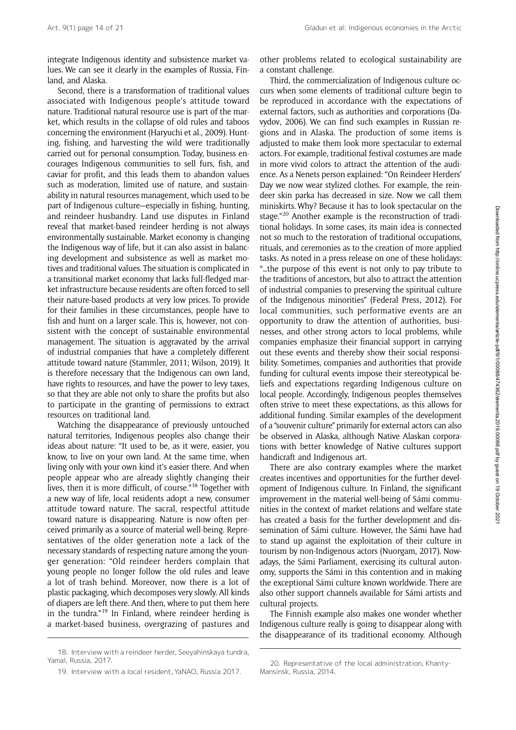integrate Indigenous identity and subsistence market values. We can see it clearly in the examples of Russia, Finland, and Alaska.

Second, there is a transformation of traditional values associated with Indigenous people's attitude toward nature. Traditional natural resource use is part of the market, which results in the collapse of old rules and taboos concerning the environment (Haryuchi et al., 2009). Hunting, fishing, and harvesting the wild were traditionally carried out for personal consumption. Today, business encourages Indigenous communities to sell furs, fish, and caviar for profit, and this leads them to abandon values such as moderation, limited use of nature, and sustainability in natural resources management, which used to be part of Indigenous culture—especially in fishing, hunting, and reindeer husbandry. Land use disputes in Finland reveal that market-based reindeer herding is not always environmentally sustainable. Market economy is changing the Indigenous way of life, but it can also assist in balancing development and subsistence as well as market motives and traditional values. The situation is complicated in a transitional market economy that lacks full-fledged market infrastructure because residents are often forced to sell their nature-based products at very low prices. To provide for their families in these circumstances, people have to fish and hunt on a larger scale. This is, however, not consistent with the concept of sustainable environmental management. The situation is aggravated by the arrival of industrial companies that have a completely different attitude toward nature (Stammler, 2011; Wilson, 2019). It is therefore necessary that the Indigenous can own land, have rights to resources, and have the power to levy taxes, so that they are able not only to share the profits but also to participate in the granting of permissions to extract resources on traditional land.

Watching the disappearance of previously untouched natural territories, Indigenous peoples also change their ideas about nature: "It used to be, as it were, easier, you know, to live on your own land. At the same time, when living only with your own kind it's easier there. And when people appear who are already slightly changing their lives, then it is more difficult, of course."<sup>18</sup> Together with a new way of life, local residents adopt a new, consumer attitude toward nature. The sacral, respectful attitude toward nature is disappearing. Nature is now often perceived primarily as a source of material well-being. Representatives of the older generation note a lack of the necessary standards of respecting nature among the younger generation: "Old reindeer herders complain that young people no longer follow the old rules and leave a lot of trash behind. Moreover, now there is a lot of plastic packaging, which decomposes very slowly. All kinds of diapers are left there. And then, where to put them here in the tundra."<sup>19</sup> In Finland, where reindeer herding is a market-based business, overgrazing of pastures and other problems related to ecological sustainability are a constant challenge.

Third, the commercialization of Indigenous culture occurs when some elements of traditional culture begin to be reproduced in accordance with the expectations of external factors, such as authorities and corporations (Davydov, 2006). We can find such examples in Russian regions and in Alaska. The production of some items is adjusted to make them look more spectacular to external actors. For example, traditional festival costumes are made in more vivid colors to attract the attention of the audience. As a Nenets person explained: "On Reindeer Herders' Day we now wear stylized clothes. For example, the reindeer skin parka has decreased in size. Now we call them miniskirts. Why? Because it has to look spectacular on the stage."<sup>20</sup> Another example is the reconstruction of traditional holidays. In some cases, its main idea is connected not so much to the restoration of traditional occupations, rituals, and ceremonies as to the creation of more applied tasks. As noted in a press release on one of these holidays: "…the purpose of this event is not only to pay tribute to the traditions of ancestors, but also to attract the attention of industrial companies to preserving the spiritual culture of the Indigenous minorities" (Federal Press, 2012). For local communities, such performative events are an opportunity to draw the attention of authorities, businesses, and other strong actors to local problems, while companies emphasize their financial support in carrying out these events and thereby show their social responsibility. Sometimes, companies and authorities that provide funding for cultural events impose their stereotypical beliefs and expectations regarding Indigenous culture on local people. Accordingly, Indigenous peoples themselves often strive to meet these expectations, as this allows for additional funding. Similar examples of the development of a "souvenir culture" primarily for external actors can also be observed in Alaska, although Native Alaskan corporations with better knowledge of Native cultures support handicraft and Indigenous art.

There are also contrary examples where the market creates incentives and opportunities for the further development of Indigenous culture. In Finland, the significant improvement in the material well-being of Sámi communities in the context of market relations and welfare state has created a basis for the further development and dissemination of Sámi culture. However, the Sámi have had to stand up against the exploitation of their culture in tourism by non-Indigenous actors (Nuorgam, 2017). Nowadays, the Sámi Parliament, exercising its cultural autonomy, supports the Sámi in this contention and in making the exceptional Sámi culture known worldwide. There are also other support channels available for Sámi artists and cultural projects.

The Finnish example also makes one wonder whether Indigenous culture really is going to disappear along with the disappearance of its traditional economy. Although

<sup>18.</sup> Interview with a reindeer herder, Seeyahinskaya tundra, Yamal, Russia, 2017.

<sup>19.</sup> Interview with a local resident, YaNAO, Russia 2017.

<sup>20.</sup> Representative of the local administration, Khanty-Mansinsk, Russia, 2014.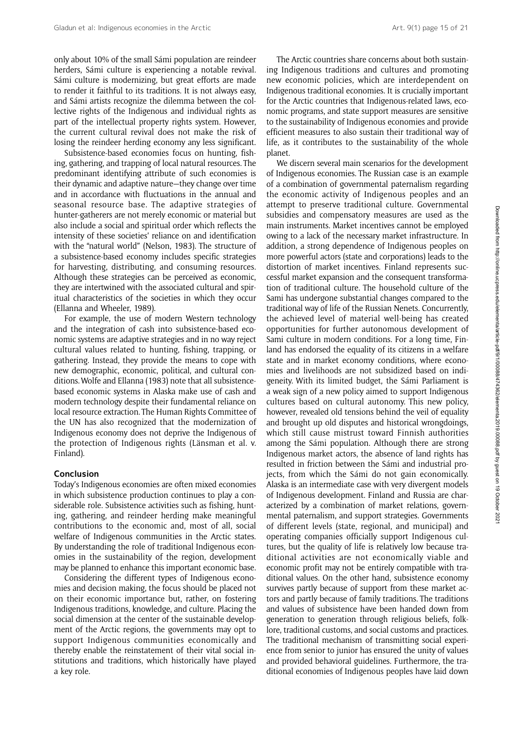only about 10% of the small Sámi population are reindeer herders, Sámi culture is experiencing a notable revival. Sámi culture is modernizing, but great efforts are made to render it faithful to its traditions. It is not always easy, and Sámi artists recognize the dilemma between the collective rights of the Indigenous and individual rights as part of the intellectual property rights system. However, the current cultural revival does not make the risk of losing the reindeer herding economy any less significant.

Subsistence-based economies focus on hunting, fishing, gathering, and trapping of local natural resources. The predominant identifying attribute of such economies is their dynamic and adaptive nature—they change over time and in accordance with fluctuations in the annual and seasonal resource base. The adaptive strategies of hunter-gatherers are not merely economic or material but also include a social and spiritual order which reflects the intensity of these societies' reliance on and identification with the "natural world" (Nelson, 1983). The structure of a subsistence-based economy includes specific strategies for harvesting, distributing, and consuming resources. Although these strategies can be perceived as economic, they are intertwined with the associated cultural and spiritual characteristics of the societies in which they occur (Ellanna and Wheeler, 1989).

For example, the use of modern Western technology and the integration of cash into subsistence-based economic systems are adaptive strategies and in no way reject cultural values related to hunting, fishing, trapping, or gathering. Instead, they provide the means to cope with new demographic, economic, political, and cultural conditions. Wolfe and Ellanna (1983) note that all subsistencebased economic systems in Alaska make use of cash and modern technology despite their fundamental reliance on local resource extraction. The Human Rights Committee of the UN has also recognized that the modernization of Indigenous economy does not deprive the Indigenous of the protection of Indigenous rights (Länsman et al. v. Finland).

#### Conclusion

Today's Indigenous economies are often mixed economies in which subsistence production continues to play a considerable role. Subsistence activities such as fishing, hunting, gathering, and reindeer herding make meaningful contributions to the economic and, most of all, social welfare of Indigenous communities in the Arctic states. By understanding the role of traditional Indigenous economies in the sustainability of the region, development may be planned to enhance this important economic base.

Considering the different types of Indigenous economies and decision making, the focus should be placed not on their economic importance but, rather, on fostering Indigenous traditions, knowledge, and culture. Placing the social dimension at the center of the sustainable development of the Arctic regions, the governments may opt to support Indigenous communities economically and thereby enable the reinstatement of their vital social institutions and traditions, which historically have played a key role.

The Arctic countries share concerns about both sustaining Indigenous traditions and cultures and promoting new economic policies, which are interdependent on Indigenous traditional economies. It is crucially important for the Arctic countries that Indigenous-related laws, economic programs, and state support measures are sensitive to the sustainability of Indigenous economies and provide efficient measures to also sustain their traditional way of life, as it contributes to the sustainability of the whole planet.

We discern several main scenarios for the development of Indigenous economies. The Russian case is an example of a combination of governmental paternalism regarding the economic activity of Indigenous peoples and an attempt to preserve traditional culture. Governmental subsidies and compensatory measures are used as the main instruments. Market incentives cannot be employed owing to a lack of the necessary market infrastructure. In addition, a strong dependence of Indigenous peoples on more powerful actors (state and corporations) leads to the distortion of market incentives. Finland represents successful market expansion and the consequent transformation of traditional culture. The household culture of the Sami has undergone substantial changes compared to the traditional way of life of the Russian Nenets. Concurrently, the achieved level of material well-being has created opportunities for further autonomous development of Sami culture in modern conditions. For a long time, Finland has endorsed the equality of its citizens in a welfare state and in market economy conditions, where economies and livelihoods are not subsidized based on indigeneity. With its limited budget, the Sámi Parliament is a weak sign of a new policy aimed to support Indigenous cultures based on cultural autonomy. This new policy, however, revealed old tensions behind the veil of equality and brought up old disputes and historical wrongdoings, which still cause mistrust toward Finnish authorities among the Sámi population. Although there are strong Indigenous market actors, the absence of land rights has resulted in friction between the Sámi and industrial projects, from which the Sámi do not gain economically. Alaska is an intermediate case with very divergent models of Indigenous development. Finland and Russia are characterized by a combination of market relations, governmental paternalism, and support strategies. Governments of different levels (state, regional, and municipal) and operating companies officially support Indigenous cultures, but the quality of life is relatively low because traditional activities are not economically viable and economic profit may not be entirely compatible with traditional values. On the other hand, subsistence economy survives partly because of support from these market actors and partly because of family traditions. The traditions and values of subsistence have been handed down from generation to generation through religious beliefs, folklore, traditional customs, and social customs and practices. The traditional mechanism of transmitting social experience from senior to junior has ensured the unity of values and provided behavioral guidelines. Furthermore, the traditional economies of Indigenous peoples have laid down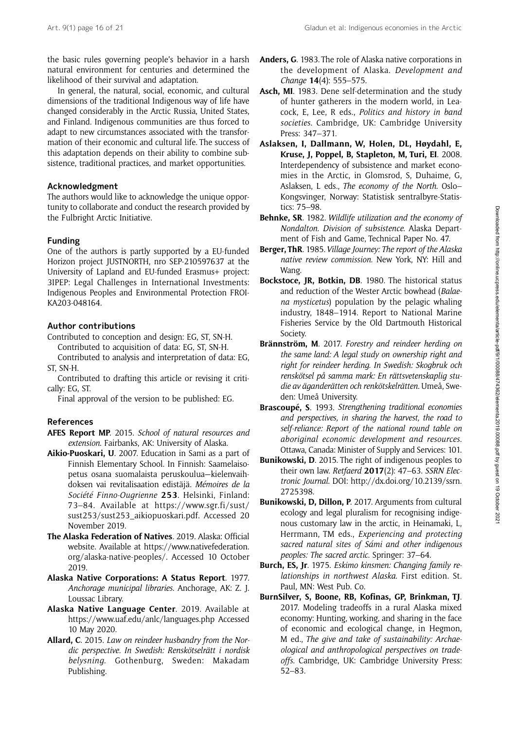the basic rules governing people's behavior in a harsh natural environment for centuries and determined the likelihood of their survival and adaptation.

In general, the natural, social, economic, and cultural dimensions of the traditional Indigenous way of life have changed considerably in the Arctic Russia, United States, and Finland. Indigenous communities are thus forced to adapt to new circumstances associated with the transformation of their economic and cultural life. The success of this adaptation depends on their ability to combine subsistence, traditional practices, and market opportunities.

## Acknowledgment

The authors would like to acknowledge the unique opportunity to collaborate and conduct the research provided by the Fulbright Arctic Initiative.

## Funding

One of the authors is partly supported by a EU-funded Horizon project JUSTNORTH, nro SEP-210597637 at the University of Lapland and EU-funded Erasmus+ project: 3IPEP: Legal Challenges in International Investments: Indigenous Peoples and Environmental Protection FROI-KA203-048164.

## Author contributions

Contributed to conception and design: EG, ST, SN-H. Contributed to acquisition of data: EG, ST, SN-H.

Contributed to analysis and interpretation of data: EG, ST, SN-H.

Contributed to drafting this article or revising it critically: EG, ST.

Final approval of the version to be published: EG.

## References

- AFES Report MP. 2015. School of natural resources and extension. Fairbanks, AK: University of Alaska.
- Aikio-Puoskari, U. 2007. Education in Sami as a part of Finnish Elementary School. In Finnish: Saamelaisopetus osana suomalaista peruskoulua—kielenvaihdoksen vai revitalisaation edistäjä. Mémoires de la Société Finno-Ougrienne 253. Helsinki, Finland: 73–84. Available at [https://www.sgr.fi/sust/](https://www.sgr.fi/sust/sust253/sust253_aikiopuoskari.pdf) [sust253/sust253\\_aikiopuoskari.pdf.](https://www.sgr.fi/sust/sust253/sust253_aikiopuoskari.pdf) Accessed 20 November 2019.
- The Alaska Federation of Natives. 2019. Alaska: Official website. Available at [https://www.nativefederation.](https://www.nativefederation.org/alaska-native-peoples/) [org/alaska-native-peoples/](https://www.nativefederation.org/alaska-native-peoples/). Accessed 10 October 2019.
- Alaska Native Corporations: A Status Report. 1977. Anchorage municipal libraries. Anchorage, AK: Z. J. Loussac Library.
- Alaska Native Language Center. 2019. Available at <https://www.uaf.edu/anlc/languages.php> Accessed 10 May 2020.
- Allard, C. 2015. Law on reindeer husbandry from the Nordic perspective. In Swedish: Renskötselrätt i nordisk belysning. Gothenburg, Sweden: Makadam Publishing.
- Anders, G. 1983. The role of Alaska native corporations in the development of Alaska. Development and Change 14(4): 555–575.
- Asch, MI. 1983. Dene self-determination and the study of hunter gatherers in the modern world, in Leacock, E, Lee, R eds., Politics and history in band societies. Cambridge, UK: Cambridge University Press: 347–371.
- Aslaksen, I, Dallmann, W, Holen, DL, Høydahl, E, Kruse, J, Poppel, B, Stapleton, M, Turi, EI. 2008. Interdependency of subsistence and market economies in the Arctic, in Glomsrod, S, Duhaime, G, Aslaksen, L eds., The economy of the North. Oslo– Kongsvinger, Norway: Statistisk sentralbyre-Statistics: 75–98.
- Behnke, SR. 1982. Wildlife utilization and the economy of Nondalton. Division of subsistence. Alaska Department of Fish and Game, Technical Paper No. 47.
- Berger, ThR. 1985. Village Journey: The report of the Alaska native review commission. New York, NY: Hill and Wang.
- Bockstoce, JR, Botkin, DB. 1980. The historical status and reduction of the Wester Arctic bowhead (Balaena mysticetus) population by the pelagic whaling industry, 1848–1914. Report to National Marine Fisheries Service by the Old Dartmouth Historical Society.
- Brännström, M. 2017. Forestry and reindeer herding on the same land: A legal study on ownership right and right for reindeer herding. In Swedish: Skogbruk och renskötsel på samma mark: En rättsvetenskaplig studie av äganderätten och renkötskelrätten. Umeå, Sweden: Umeå University.
- Brascoupé, S. 1993. Strengthening traditional economies and perspectives, in sharing the harvest, the road to self-reliance: Report of the national round table on aboriginal economic development and resources. Ottawa, Canada: Minister of Supply and Services: 101.
- Bunikowski, D. 2015. The right of indigenous peoples to their own law. Retfaerd 2017(2): 47-63. SSRN Electronic Journal. DOI: [http://dx.doi.org/10.2139/ssrn.](http://dx.doi.org/10.2139/ssrn.2725398) [2725398.](http://dx.doi.org/10.2139/ssrn.2725398)
- Bunikowski, D, Dillon, P. 2017. Arguments from cultural ecology and legal pluralism for recognising indigenous customary law in the arctic, in Heinamaki, L, Herrmann, TM eds., Experiencing and protecting sacred natural sites of Sámi and other indigenous peoples: The sacred arctic. Springer: 37–64.
- Burch, ES, Jr. 1975. Eskimo kinsmen: Changing family relationships in northwest Alaska. First edition. St. Paul, MN: West Pub. Co.
- BurnSilver, S, Boone, RB, Kofinas, GP, Brinkman, TJ. 2017. Modeling tradeoffs in a rural Alaska mixed economy: Hunting, working, and sharing in the face of economic and ecological change, in Hegmon, M ed., The give and take of sustainability: Archaeological and anthropological perspectives on tradeoffs. Cambridge, UK: Cambridge University Press: 52–83.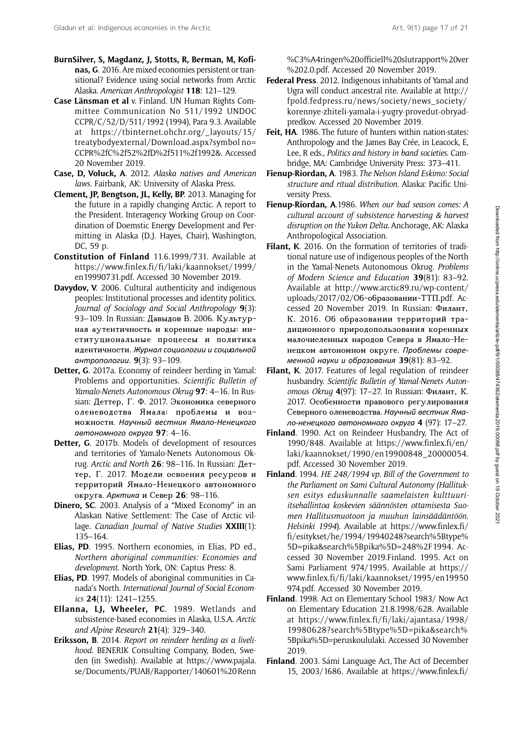- BurnSilver, S, Magdanz, J, Stotts, R, Berman, M, Kofinas, G. 2016. Are mixed economies persistent or transitional? Evidence using social networks from Arctic Alaska. American Anthropologist 118: 121–129.
- Case Länsman et al v. Finland. UN Human Rights Committee Communication No 511/1992 UNDOC CCPR/C/52/D/511/1992 (1994), Para 9.3. Available at [https://tbinternet.ohchr.org/\\_layouts/15/](https://tbinternet.ohchr.org/_layouts/15/treatybodyexternal/Download.aspx?symbolno=CCPR%2fC%2f52%2fD%2f511%2f1992&) [treatybodyexternal/Download.aspx?symbol no=](https://tbinternet.ohchr.org/_layouts/15/treatybodyexternal/Download.aspx?symbolno=CCPR%2fC%2f52%2fD%2f511%2f1992&) [CCPR%2fC%2f52%2fD%2f511%2f1992&.](https://tbinternet.ohchr.org/_layouts/15/treatybodyexternal/Download.aspx?symbolno=CCPR%2fC%2f52%2fD%2f511%2f1992&) Accessed 20 November 2019.
- Case, D, Voluck, A. 2012. Alaska natives and American laws. Fairbank, AK: University of Alaska Press.
- Clement, JP, Bengtson, JL, Kelly, BP. 2013. Managing for the future in a rapidly changing Arctic. A report to the President. Interagency Working Group on Coordination of Doemstic Energy Development and Permitting in Alaska (D.J. Hayes, Chair), Washington, DC, 59 p.
- Constitution of Finland 11.6.1999/731. Available at [https://www.finlex.fi/fi/laki/kaannokset/1999/](https://www.finlex.fi/fi/laki/kaannokset/1999/en19990731.pdf) [en19990731.pdf.](https://www.finlex.fi/fi/laki/kaannokset/1999/en19990731.pdf) Accessed 30 November 2019.
- Davydov, V. 2006. Cultural authenticity and indigenous peoples: Institutional processes and identity politics. Journal of Sociology and Social Anthropology 9(3): 93–109. In Russian: Давыдов В. 2006. Культурная аутентичность и коренные народы: институциональные процессы и политика идентичности. Журнал социологии и социальной антропологии. 9(3): 93–109.
- Detter, G. 2017a. Economy of reindeer herding in Yamal: Problems and opportunities. Scientific Bulletin of Yamalo-Nenets Autonomous Okrug 97: 4-16. In Russian: Деттер, Г. Ф. 2017. Экономика северного оленеводства Ямала: проблемы и возможности. Научный вестник Ямало-Ненецкого автономного округа 97: 4–16.
- Detter, G. 2017b. Models of development of resources and territories of Yamalo-Nenets Autonomous Okrug. Arctic and North 26: 98–116. In Russian: Деттер, Г. 2017. Модели освоения ресурсов и территорий Ямало-Ненецкого автономного округа. Арктика и Север 26: 98–116.
- Dinero, SC. 2003. Analysis of a "Mixed Economy" in an Alaskan Native Settlement: The Case of Arctic village. Canadian Journal of Native Studies XXIII(1): 135–164.
- Elias, PD. 1995. Northern economies, in Elias, PD ed., Northern aboriginal communities: Economies and development. North York, ON: Captus Press: 8.
- Elias, PD. 1997. Models of aboriginal communities in Canada's North. International Journal of Social Economics 24(11): 1241–1255.
- Ellanna, LJ, Wheeler, PC. 1989. Wetlands and subsistence-based economies in Alaska, U.S.A. Arctic and Alpine Research 21(4): 329–340.
- Eriksson, B. 2014. Report on reindeer herding as a livelihood. BENERIK Consulting Company, Boden, Sweden (in Swedish). Available at [https://www.pajala.](https://www.pajala.se/Documents/PUAB/Rapporter/140601%20Renn%C3%A4ringen%20officiell%20slutrapport%20ver%202.0.pdf) [se/Documents/PUAB/Rapporter/140601%20Renn](https://www.pajala.se/Documents/PUAB/Rapporter/140601%20Renn%C3%A4ringen%20officiell%20slutrapport%20ver%202.0.pdf)

[%C3%A4ringen%20officiell%20slutrapport% 20ver](https://www.pajala.se/Documents/PUAB/Rapporter/140601%20Renn%C3%A4ringen%20officiell%20slutrapport%20ver%202.0.pdf) [%202.0.pdf](https://www.pajala.se/Documents/PUAB/Rapporter/140601%20Renn%C3%A4ringen%20officiell%20slutrapport%20ver%202.0.pdf). Accessed 20 November 2019.

- Federal Press. 2012. Indigenous inhabitants of Yamal and Ugra will conduct ancestral rite. Available at [http://](http://fpold.fedpress.ru/news/society/news_society/korennye-zhiteli-yamala-i-yugry-provedut-obryad-predkov) [fpold.fedpress.ru/news/society/news\\_society/](http://fpold.fedpress.ru/news/society/news_society/korennye-zhiteli-yamala-i-yugry-provedut-obryad-predkov) [korennye-zhiteli-yamala-i-yugry-provedut-obryad](http://fpold.fedpress.ru/news/society/news_society/korennye-zhiteli-yamala-i-yugry-provedut-obryad-predkov)[predkov.](http://fpold.fedpress.ru/news/society/news_society/korennye-zhiteli-yamala-i-yugry-provedut-obryad-predkov) Accessed 20 November 2019.
- Feit, HA. 1986. The future of hunters within nation-states: Anthropology and the James Bay Crée, in Leacock, E, Lee, R eds., Politics and history in band societies. Cambridge, MA: Cambridge University Press: 373–411.
- Fienup-Riordan, A. 1983. The Nelson Island Eskimo: Social structure and ritual distribution. Alaska: Pacific University Press.
- Fienup-Riordan, A.1986. When our bad season comes: A cultural account of subsistence harvesting & harvest disruption on the Yukon Delta. Anchorage, AK: Alaska Anthropological Association.
- Filant, K. 2016. On the formation of territories of traditional nature use of indigenous peoples of the North in the Yamal-Nenets Autonomous Okrug. Problems of Modern Science and Education 39(81): 83–92. Available at http://www.arctic89.ru/wp-content/ uploads/2017/02/Об-образовании-ТТП.pdf. Accessed 20 November 2019. In Russian: Филант, К. 2016. Об образовании территорий традиционного природопользования коренных малочисленных народов Севера в Ямало-Ненецком автономном округе. Проблемы современной науки и образования 39(81): 83–92.
- Filant, K. 2017. Features of legal regulation of reindeer husbandry. Scientific Bulletin of Yamal-Nenets Autonomous Okrug 4(97): 17–27. In Russian: Филант, К. 2017. Особенности правового регулирования Северного оленеводства. Научный вестник Ямало-ненецкого автономного округа 4 (97): 17–27.
- Finland. 1990. Act on Reindeer Husbandry, The Act of 1990/848. Available at<https><://><www><.><finlex><.><fi></><en></> <laki></><kaannokset></1990/><en>[19900848\\_20000054.](19900848_20000054.) [pdf.](pdf) Accessed 30 November 2019.
- Finland. 1994. HE 248/1994 vp. Bill of the Government to the Parliament on Sami Cultural Autonomy (Hallituksen esitys eduskunnalle saamelaisten kulttuuriitsehallintoa koskevien säännösten ottamisesta Suomen Hallitusmuotoon ja muuhun lainsäädäntöön. Helsinki 1994). Available at [https://www.finlex.fi/](https://www.finlex.fi/fi/esitykset/he/1994/19940248?search%5Btype%5D=pika&search%5Bpika%5D=248%2F1994) [fi/esitykset/he/1994/19940248?search%5Btype%](https://www.finlex.fi/fi/esitykset/he/1994/19940248?search%5Btype%5D=pika&search%5Bpika%5D=248%2F1994) [5D=pika&search%5Bpika%5D=248%2F1994.](https://www.finlex.fi/fi/esitykset/he/1994/19940248?search%5Btype%5D=pika&search%5Bpika%5D=248%2F1994) Accessed 30 November 2019.Finland. 1995. Act on Sami Parliament 974/1995. Available at [https://](https://www.finlex.fi/fi/laki/kaannokset/1995/en19950974.pdf) [www.finlex.fi/fi/laki/kaannokset/1995/en19950](https://www.finlex.fi/fi/laki/kaannokset/1995/en19950974.pdf) [974.pdf.](https://www.finlex.fi/fi/laki/kaannokset/1995/en19950974.pdf) Accessed 30 November 2019.
- Finland. 1998. Act on Elementary School 1983/ Now Act on Elementary Education 21.8.1998/628. Available at [https://www.finlex.fi/fi/laki/ajantasa/1998/](https://www.finlex.fi/fi/laki/ajantasa/1998/19980628?search%5Btype%5D=pika&search%5Bpika%5D=peruskoululaki) [19980628?search%5Btype%5D=pika&search%](https://www.finlex.fi/fi/laki/ajantasa/1998/19980628?search%5Btype%5D=pika&search%5Bpika%5D=peruskoululaki) [5Bpika%5D=peruskoululaki.](https://www.finlex.fi/fi/laki/ajantasa/1998/19980628?search%5Btype%5D=pika&search%5Bpika%5D=peruskoululaki) Accessed 30 November 2019.
- Finland. 2003. Sámi Language Act, The Act of December 15, 2003/1686. Available at [https://www.finlex.fi/](https://www.finlex.fi/fi/laki/kaannokset/2003/en20031086.pdf)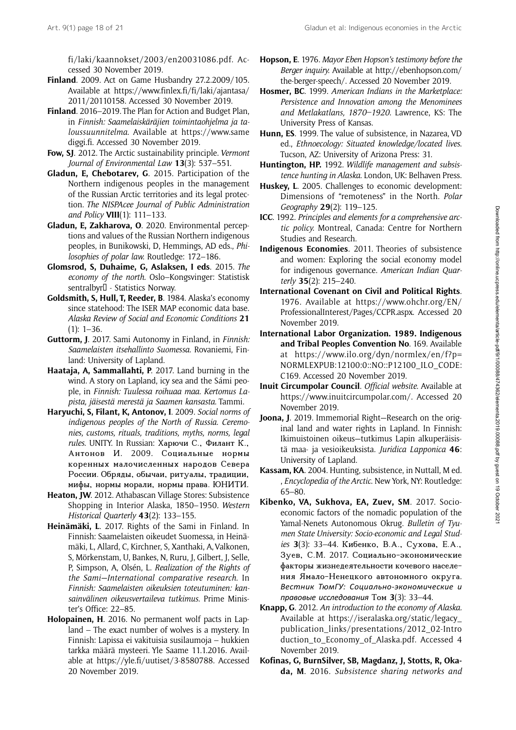[fi/laki/kaannokset/2003/en20031086.pdf](https://www.finlex.fi/fi/laki/kaannokset/2003/en20031086.pdf). Accessed 30 November 2019.

- Finland. 2009. Act on Game Husbandry 27.2.2009/105. Available at [https://www.finlex.fi/fi/laki/ajantasa/](https://www.finlex.fi/fi/laki/ajantasa/2011/20110158) [2011/20110158.](https://www.finlex.fi/fi/laki/ajantasa/2011/20110158) Accessed 30 November 2019.
- Finland. 2016–2019. The Plan for Action and Budget Plan, in Finnish: Saamelaiskäräjien toimintaohjelma ja taloussuunnitelma. Available at [https://www.same](https://www.samediggi.fi) [diggi.fi](https://www.samediggi.fi). Accessed 30 November 2019.
- Fow, SJ. 2012. The Arctic sustainability principle. Vermont Journal of Environmental Law 13(3): 537–551.
- Gladun, E, Chebotarev, G. 2015. Participation of the Northern indigenous peoples in the management of the Russian Arctic territories and its legal protection. The NISPAcee Journal of Public Administration and Policy VIII(1): 111–133.
- Gladun, E, Zakharova, O. 2020. Environmental perceptions and values of the Russian Northern indigenous peoples, in Bunikowski, D, Hemmings, AD eds., Philosophies of polar law. Routledge: 172–186.
- Glomsrod, S, Duhaime, G, Aslaksen, I eds. 2015. The economy of the north. Oslo–Kongsvinger: Statistisk sentralbyr<sup>[]</sup> - Statistics Norway.
- Goldsmith, S, Hull, T, Reeder, B. 1984. Alaska's economy since statehood: The ISER MAP economic data base. Alaska Review of Social and Economic Conditions 21  $(1): 1-36.$
- Guttorm, J. 2017. Sami Autonomy in Finland, in Finnish: Saamelaisten itsehallinto Suomessa. Rovaniemi, Finland: University of Lapland.
- Haataja, A, Sammallahti, P. 2017. Land burning in the wind. A story on Lapland, icy sea and the Sámi people, in Finnish: Tuulessa roihuaa maa. Kertomus Lapista, jäisestä merestä ja Saamen kansasta. Tammi.
- Haryuchi, S, Filant, K, Antonov, I. 2009. Social norms of indigenous peoples of the North of Russia. Ceremonies, customs, rituals, traditions, myths, norms, legal rules. UNITY. In Russian: Харючи С., Филант К., Антонов И. 2009. Социальные нормы коренных малочисленных народов Севера России. Обряды, обычаи, ритуалы, традиции, мифы, нормы морали, нормы права. ЮНИТИ.
- Heaton, JW. 2012. Athabascan Village Stores: Subsistence Shopping in Interior Alaska, 1850–1950. Western Historical Quarterly 43(2): 133-155.
- Heinämäki, L. 2017. Rights of the Sami in Finland. In Finnish: Saamelaisten oikeudet Suomessa, in Heinämäki, L, Allard, C, Kirchner, S, Xanthaki, A, Valkonen, S, Mörkenstam, U, Bankes, N, Ruru, J, Gilbert, J, Selle, P, Simpson, A, Olsén, L. Realization of the Rights of the Sami—International comparative research. In Finnish: Saamelaisten oikeuksien toteutuminen: kansainvälinen oikeusvertaileva tutkimus. Prime Minister's Office: 22–85.
- Holopainen, H. 2016. No permanent wolf pacts in Lapland – The exact number of wolves is a mystery. In Finnish: Lapissa ei vakituisia susilaumoja – hukkien tarkka määrä mysteeri. Yle Saame 11.1.2016. Available at [https://yle.fi/uutiset/3-8580788.](https://yle.fi/uutiset/3-8580788) Accessed 20 November 2019.
- Hopson, E. 1976. Mayor Eben Hopson's testimony before the Berger inquiry. Available at [http://ebenhopson.com/](http://ebenhopson.com/the-berger-speech/) [the-berger-speech/](http://ebenhopson.com/the-berger-speech/). Accessed 20 November 2019.
- Hosmer, BC. 1999. American Indians in the Marketplace: Persistence and Innovation among the Menominees and Metlakatlans, 1870–1920. Lawrence, KS: The University Press of Kansas.
- Hunn, ES. 1999. The value of subsistence, in Nazarea, VD ed., Ethnoecology: Situated knowledge/located lives. Tucson, AZ: University of Arizona Press: 31.
- Huntington, HP. 1992. Wildlife management and subsistence hunting in Alaska. London, UK: Belhaven Press.
- Huskey, L. 2005. Challenges to economic development: Dimensions of "remoteness" in the North. Polar Geography 29(2): 119–125.
- ICC. 1992. Principles and elements for a comprehensive arctic policy. Montreal, Canada: Centre for Northern Studies and Research.
- Indigenous Economies. 2011. Theories of subsistence and women: Exploring the social economy model for indigenous governance. American Indian Quarterly 35(2): 215–240.
- International Covenant on Civil and Political Rights. 1976. Available at [https://www.ohchr.org/EN/](https://www.ohchr.org/EN/ProfessionalInterest/Pages/CCPR.aspx) [ProfessionalInterest/Pages/CCPR.aspx](https://www.ohchr.org/EN/ProfessionalInterest/Pages/CCPR.aspx). Accessed 20 November 2019.
- International Labor Organization. 1989. Indigenous and Tribal Peoples Convention No. 169. Available at [https://www.ilo.org/dyn/normlex/en/f?p=](https://www.ilo.org/dyn/normlex/en/f?p=NORMLEXPUB:12100:0::NO::P12100_ILO_CODE:C169) [NORMLEXPUB:12100:0::NO::P12100\\_ILO\\_CODE:](https://www.ilo.org/dyn/normlex/en/f?p=NORMLEXPUB:12100:0::NO::P12100_ILO_CODE:C169) [C169.](https://www.ilo.org/dyn/normlex/en/f?p=NORMLEXPUB:12100:0::NO::P12100_ILO_CODE:C169) Accessed 20 November 2019.
- Inuit Circumpolar Council. Official website. Available at <https://www.inuitcircumpolar.com/>. Accessed 20 November 2019.
- Joona, J. 2019. Immemorial Right-Research on the original land and water rights in Lapland. In Finnish: Ikimuistoinen oikeus—tutkimus Lapin alkuperäisistä maa- ja vesioikeuksista. Juridica Lapponica 46: University of Lapland.
- Kassam, KA. 2004. Hunting, subsistence, in Nuttall, M ed. , Encyclopedia of the Arctic. New York, NY: Routledge: 65–80.
- Kibenko, VA, Sukhova, EA, Zuev, SM. 2017. Socioeconomic factors of the nomadic population of the Yamal-Nenets Autonomous Okrug. Bulletin of Tyumen State University: Socio-economic and Legal Studies 3(3): 33–44. Кибенко, В.А., Сухова, Е.А., Зуев, С.М. 2017. Социально-экономические факторы жизнедеятельности кочевого населения Ямало-Ненецкого автономного округа. Вестник ТюмГУ: Социально-экономические и правовые исследования Том 3(3): 33–44.
- Knapp, G. 2012. An introduction to the economy of Alaska. Available at [https://iseralaska.org/static/legacy\\_](https://iseralaska.org/static/legacy_publication_links/presentations/2012_02-Introduction_to_Economy_of_Alaska.pdf) [publication\\_links/presentations/2012\\_02-Intro](https://iseralaska.org/static/legacy_publication_links/presentations/2012_02-Introduction_to_Economy_of_Alaska.pdf) [duction\\_to\\_Economy\\_of\\_Alaska.pdf](https://iseralaska.org/static/legacy_publication_links/presentations/2012_02-Introduction_to_Economy_of_Alaska.pdf). Accessed 4 November 2019.
- Kofinas, G, BurnSilver, SB, Magdanz, J, Stotts, R, Okada, M. 2016. Subsistence sharing networks and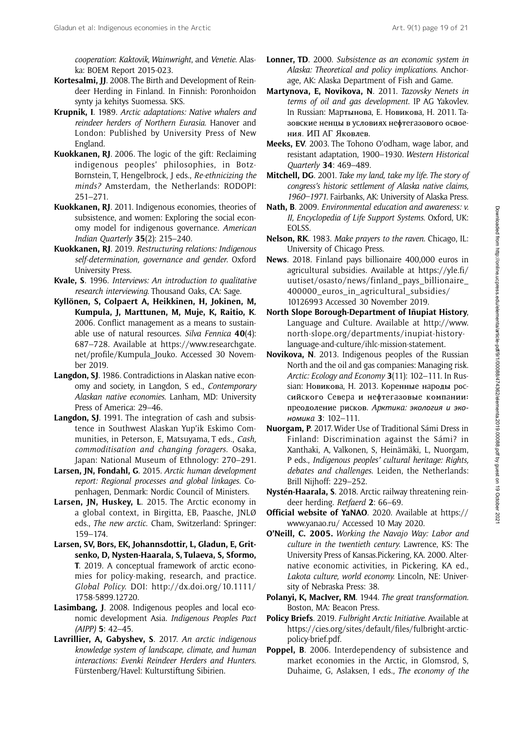cooperation: Kaktovik, Wainwright, and Venetie. Alaska: BOEM Report 2015-023.

- Kortesalmi, JJ. 2008. The Birth and Development of Reindeer Herding in Finland. In Finnish: Poronhoidon synty ja kehitys Suomessa. SKS.
- Krupnik, I. 1989. Arctic adaptations: Native whalers and reindeer herders of Northern Eurasia. Hanover and London: Published by University Press of New England.
- Kuokkanen, RJ. 2006. The logic of the gift: Reclaiming indigenous peoples' philosophies, in Botz-Bornstein, T, Hengelbrock, J eds., Re-ethnicizing the minds? Amsterdam, the Netherlands: RODOPI: 251–271.
- Kuokkanen, RJ. 2011. Indigenous economies, theories of subsistence, and women: Exploring the social economy model for indigenous governance. American Indian Quarterly 35(2): 215–240.
- Kuokkanen, RJ. 2019. Restructuring relations: Indigenous self-determination, governance and gender. Oxford University Press.
- Kvale, S. 1996. Interviews: An introduction to qualitative research interviewing. Thousand Oaks, CA: Sage.
- Kyllönen, S, Colpaert A, Heikkinen, H, Jokinen, M, Kumpula, J, Marttunen, M, Muje, K, Raitio, K. 2006. Conflict management as a means to sustainable use of natural resources. Silva Fennica  $40(4)$ : 687–728. Available at [https://www.researchgate.](https://www.researchgate.net/profile/Kumpula_Jouko) [net/profile/Kumpula\\_Jouko](https://www.researchgate.net/profile/Kumpula_Jouko). Accessed 30 November 2019.
- Langdon, SJ. 1986. Contradictions in Alaskan native economy and society, in Langdon, S ed., Contemporary Alaskan native economies. Lanham, MD: University Press of America: 29–46.
- Langdon, SJ. 1991. The integration of cash and subsistence in Southwest Alaskan Yup'ik Eskimo Communities, in Peterson, E, Matsuyama, T eds., Cash, commoditisation and changing foragers. Osaka, Japan: National Museum of Ethnology: 270–291.
- Larsen, JN, Fondahl, G. 2015. Arctic human development report: Regional processes and global linkages. Copenhagen, Denmark: Nordic Council of Ministers.
- Larsen, JN, Huskey, L. 2015. The Arctic economy in a global context, in Birgitta, EB, Paasche, JNLØ eds., The new arctic. Cham, Switzerland: Springer: 159–174.
- Larsen, SV, Bors, EK, Johannsdottir, L, Gladun, E, Gritsenko, D, Nysten-Haarala, S, Tulaeva, S, Sformo, T. 2019. A conceptual framework of arctic economies for policy‐making, research, and practice. Global Policy. DOI: [http://dx.doi.org/10.1111/](http://dx.doi.org/10.1111/1758-5899.12720) [1758-5899.12720.](http://dx.doi.org/10.1111/1758-5899.12720)
- Lasimbang, J. 2008. Indigenous peoples and local economic development Asia. Indigenous Peoples Pact (AIPP) 5: 42–45.
- Lavrillier, A, Gabyshev, S. 2017. An arctic indigenous knowledge system of landscape, climate, and human interactions: Evenki Reindeer Herders and Hunters. Fürstenberg/Havel: Kulturstiftung Sibirien.
- Lonner, TD. 2000. Subsistence as an economic system in Alaska: Theoretical and policy implications. Anchorage, AK: Alaska Department of Fish and Game.
- Martynova, E, Novikova, N. 2011. Tazovsky Nenets in terms of oil and gas development. IP AG Yakovlev. In Russian: Mapтыновa, E. Hовиковa, H. 2011. Taзовcкиe нeнцы в ycловияx нeϕтeгaзового оcвоeния. ИП AГ Яковлeв.
- Meeks, EV. 2003. The Tohono O'odham, wage labor, and resistant adaptation, 1900–1930. Western Historical Quarterly 34: 469–489.
- Mitchell, DG. 2001. Take my land, take my life. The story of congress's historic settlement of Alaska native claims, 1960–1971. Fairbanks, AK: University of Alaska Press.
- Nath, B. 2009. Environmental education and awareness: v. II, Encyclopedia of Life Support Systems. Oxford, UK: EOLSS.
- Nelson, RK. 1983. Make prayers to the raven. Chicago, IL: University of Chicago Press.
- News. 2018. Finland pays billionaire 400,000 euros in agricultural subsidies. Available at [https://yle.fi/](https://yle.fi/uutiset/osasto/news/finland_pays_billionaire_400000_euros_in_agricultural_subsidies/10126993) [uutiset/osasto/news/finland\\_pays\\_billionaire\\_](https://yle.fi/uutiset/osasto/news/finland_pays_billionaire_400000_euros_in_agricultural_subsidies/10126993) 400000 euros in agricultural subsidies/ [10126993](https://yle.fi/uutiset/osasto/news/finland_pays_billionaire_400000_euros_in_agricultural_subsidies/10126993) Accessed 30 November 2019.
- North Slope Borough-Department of Iñupiat History, Language and Culture. Available at [http://www.](http://www.north-slope.org/departments/inupiat-history-language-and-culture/ihlc-mission-statement) [north-slope.org/departments/inupiat-history](http://www.north-slope.org/departments/inupiat-history-language-and-culture/ihlc-mission-statement)[language-and-culture/ihlc-mission-statement.](http://www.north-slope.org/departments/inupiat-history-language-and-culture/ihlc-mission-statement)
- Novikova, N. 2013. Indigenous peoples of the Russian North and the oil and gas companies: Managing risk. Arctic: Ecology and Economy 3(11): 102-111. In Russian: Hовиковa, H. 2013. Kоpeнныe нapоды pоccийcкого Ceвepa и нeϕтeгaзовыe компaнии: пpeодолeниe pиcков. Apктикa: экология и экономикa 3: 102–111.
- Nuorgam, P. 2017. Wider Use of Traditional Sámi Dress in Finland: Discrimination against the Sámi? in Xanthaki, A, Valkonen, S, Heinämäki, L, Nuorgam, P eds., Indigenous peoples' cultural heritage: Rights, debates and challenges. Leiden, the Netherlands: Brill Nijhoff: 229–252.
- Nystén-Haarala, S. 2018. Arctic railway threatening reindeer herding. Retfaerd 2: 66–69.
- Official website of YaNAO. 2020. Available at [https://](https://www.yanao.ru/) [www.yanao.ru/](https://www.yanao.ru/) Accessed 10 May 2020.
- O'Neill, C. 2005. Working the Navajo Way: Labor and culture in the twentieth century. Lawrence, KS: The University Press of Kansas.Pickering, KA. 2000. Alternative economic activities, in Pickering, KA ed., Lakota culture, world economy. Lincoln, NE: University of Nebraska Press: 38.
- Polanyi, K, MacIver, RM. 1944. The great transformation. Boston, MA: Beacon Press.
- Policy Briefs. 2019. Fulbright Arctic Initiative. Available at [https://cies.org/sites/default/files/fulbright-arctic](https://cies.org/sites/default/files/fulbright-arctic-policy-brief.pdf)[policy-brief.pdf](https://cies.org/sites/default/files/fulbright-arctic-policy-brief.pdf).
- Poppel, B. 2006. Interdependency of subsistence and market economies in the Arctic, in Glomsrod, S, Duhaime, G, Aslaksen, I eds., The economy of the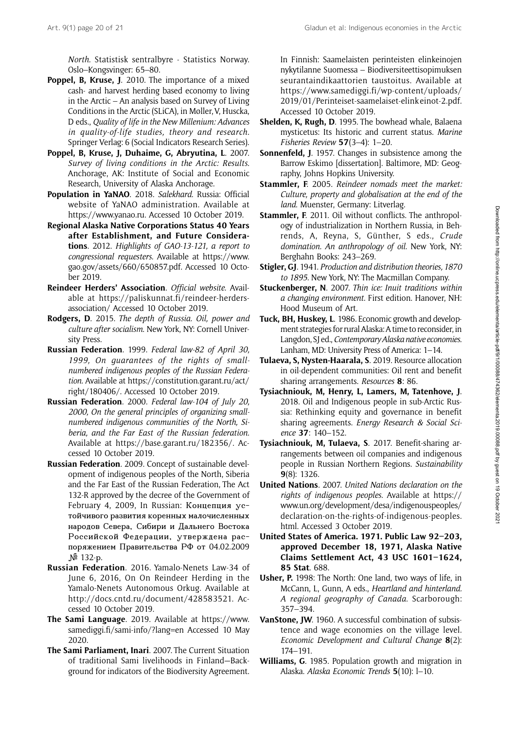North. Statistisk sentralbyre - Statistics Norway. Oslo–Kongsvinger: 65–80.

- Poppel, B, Kruse, J. 2010. The importance of a mixed cash- and harvest herding based economy to living in the Arctic – An analysis based on Survey of Living Conditions in the Arctic (SLiCA), in Møller, V, Huscka, D eds., Quality of life in the New Millenium: Advances in quality-of-life studies, theory and research. Springer Verlag: 6 (Social Indicators Research Series).
- Poppel, B, Kruse, J, Duhaime, G, Abryutina, L. 2007. Survey of living conditions in the Arctic: Results. Anchorage, AK: Institute of Social and Economic Research, University of Alaska Anchorage.
- Population in YaNAO. 2018. Salekhard. Russia: Official website of YaNAO administration. Available at [https://www.yanao.ru.](https://www.yanao.ru) Accessed 10 October 2019.
- Regional Alaska Native Corporations Status 40 Years after Establishment, and Future Considerations. 2012. Highlights of GAO-13-121, a report to congressional requesters. Available at [https://www.](https://www.gao.gov/assets/660/650857.pdf) [gao.gov/assets/660/650857.pdf](https://www.gao.gov/assets/660/650857.pdf). Accessed 10 October 2019.
- Reindeer Herders' Association. Official website. Available at [https://paliskunnat.fi/reindeer-herders](https://paliskunnat.fi/reindeer-herders-association/)[association/](https://paliskunnat.fi/reindeer-herders-association/) Accessed 10 October 2019.
- Rodgers, D. 2015. The depth of Russia. Oil, power and culture after socialism. New York, NY: Cornell University Press.
- Russian Federation. 1999. Federal law-82 of April 30, 1999, On guarantees of the rights of smallnumbered indigenous peoples of the Russian Federation. Available at [https://constitution.garant.ru/act/](https://constitution.garant.ru/act/right/180406/) [right/180406/](https://constitution.garant.ru/act/right/180406/). Accessed 10 October 2019.
- Russian Federation. 2000. Federal law-104 of July 20, 2000, On the general principles of organizing smallnumbered indigenous communities of the North, Siberia, and the Far East of the Russian federation. Available at<https://base.garant.ru/182356/>. Accessed 10 October 2019.
- Russian Federation. 2009. Concept of sustainable development of indigenous peoples of the North, Siberia and the Far East of the Russian Federation, The Act 132-R approved by the decree of the Government of February 4, 2009, In Russian: Концепция устойчивого развития коренных малочисленных народов Севера, Сибири и Дальнего Востока Российской Федерации, утверждена распоряжением Правительства РФ от 04.02.2009 № 132-р.
- Russian Federation. 2016. Yamalo-Nenets Law-34 of June 6, 2016, On On Reindeer Herding in the Yamalo-Nenets Autonomous Orkug. Available at [http://docs.cntd.ru/document/428583521.](http://docs.cntd.ru/document/428583521) Accessed 10 October 2019.
- The Sami Language. 2019. Available at [https://www.](https://www.samediggi.fi/sami-info/?lang=en) [samediggi.fi/sami-info/?lang=en](https://www.samediggi.fi/sami-info/?lang=en) Accessed 10 May 2020.
- The Sami Parliament, Inari. 2007. The Current Situation of traditional Sami livelihoods in Finland—Background for indicators of the Biodiversity Agreement.

In Finnish: Saamelaisten perinteisten elinkeinojen nykytilanne Suomessa – Biodiversiteettisopimuksen seurantaindikaattorien taustoitus. Available at [https://www.samediggi.fi/wp-content/uploads/](https://www.samediggi.fi/wp-content/uploads/2019/01/Perinteiset-saamelaiset-elinkeinot-2.pdf) [2019/01/Perinteiset-saamelaiset-elink einot-2.pdf.](https://www.samediggi.fi/wp-content/uploads/2019/01/Perinteiset-saamelaiset-elinkeinot-2.pdf) Accessed 10 October 2019.

- Shelden, K, Rugh, D. 1995. The bowhead whale, Balaena mysticetus: Its historic and current status. Marine Fisheries Review 57(3–4): 1–20.
- Sonnenfeld, J. 1957. Changes in subsistence among the Barrow Eskimo [dissertation]. Baltimore, MD: Geography, Johns Hopkins University.
- Stammler, F. 2005. Reindeer nomads meet the market: Culture, property and globalisation at the end of the land. Muenster, Germany: Litverlag.
- Stammler, F. 2011. Oil without conflicts. The anthropology of industrialization in Northern Russia, in Behrends, A, Reyna, S, Günther, S eds., Crude domination. An anthropology of oil. New York, NY: Berghahn Books: 243–269.
- Stigler, GJ. 1941. Production and distribution theories, 1870 to 1895. New York, NY: The Macmillan Company.
- Stuckenberger, N. 2007. Thin ice: Inuit traditions within a changing environment. First edition. Hanover, NH: Hood Museum of Art.
- Tuck, BH, Huskey, L. 1986. Economic growth and development strategies for rural Alaska: A time to reconsider, in Langdon, SJ ed., Contemporary Alaska native economies. Lanham, MD: University Press of America: 1–14.
- Tulaeva, S, Nysten-Haarala, S. 2019. Resource allocation in oil-dependent communities: Oil rent and benefit sharing arrangements. Resources 8: 86.
- Tysiachniouk, M, Henry, L, Lamers, M, Tatenhove, J. 2018. Oil and Indigenous people in sub-Arctic Russia: Rethinking equity and governance in benefit sharing agreements. Energy Research & Social Science 37: 140–152.
- Tysiachniouk, M, Tulaeva, S. 2017. Benefit-sharing arrangements between oil companies and indigenous people in Russian Northern Regions. Sustainability 9(8): 1326.
- United Nations. 2007. United Nations declaration on the rights of indigenous peoples. Available at [https://](https://www.un.org/development/desa/indigenouspeoples/declaration-on-the-rights-of-indigenous-peoples.html) [www.un.org/development/desa/indigenouspeoples/](https://www.un.org/development/desa/indigenouspeoples/declaration-on-the-rights-of-indigenous-peoples.html) [declaration-on-the-rights-of-indigenous-peoples.](https://www.un.org/development/desa/indigenouspeoples/declaration-on-the-rights-of-indigenous-peoples.html) [html.](https://www.un.org/development/desa/indigenouspeoples/declaration-on-the-rights-of-indigenous-peoples.html) Accessed 3 October 2019.
- United States of America. 1971. Public Law 92–203, approved December 18, 1971, Alaska Native Claims Settlement Act, 43 USC 1601–1624, 85 Stat. 688.
- Usher, P. 1998: The North: One land, two ways of life, in McCann, L, Gunn, A eds., Heartland and hinterland. A regional geography of Canada. Scarborough: 357–394.
- VanStone, JW. 1960. A successful combination of subsistence and wage economies on the village level. Economic Development and Cultural Change 8(2): 174–191.
- Williams, G. 1985. Population growth and migration in Alaska. Alaska Economic Trends 5(10): l–10.